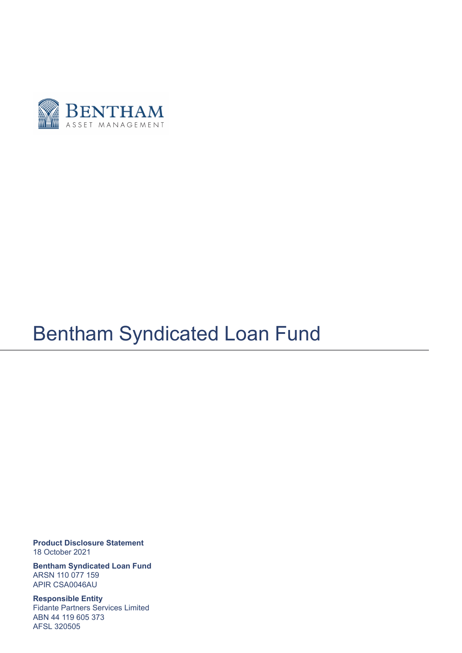

# Bentham Syndicated Loan Fund

**Product Disclosure Statement** 18 October 2021

**Bentham Syndicated Loan Fund** ARSN 110 077 159 APIR CSA0046AU

**Responsible Entity** Fidante Partners Services Limited ABN 44 119 605 373 AFSL 320505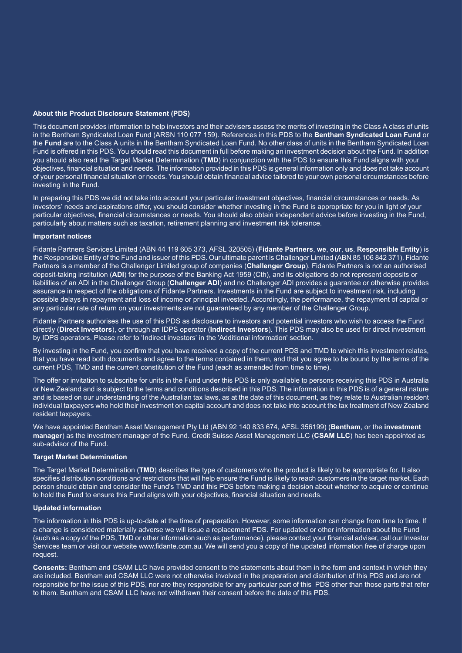#### **About this Product Disclosure Statement (PDS)**

This document provides information to help investors and their advisers assess the merits of investing in the Class A class of units in the Bentham Syndicated Loan Fund (ARSN 110 077 159). References in this PDS to the **Bentham Syndicated Loan Fund** or the **Fund** are to the Class A units in the Bentham Syndicated Loan Fund. No other class of units in the Bentham Syndicated Loan Fund is offered in this PDS. You should read this document in full before making an investment decision about the Fund. In addition you should also read the Target Market Determination (**TMD**) in conjunction with the PDS to ensure this Fund aligns with your objectives, financial situation and needs. The information provided in this PDS is general information only and does not take account of your personal financial situation or needs. You should obtain financial advice tailored to your own personal circumstances before investing in the Fund.

In preparing this PDS we did not take into account your particular investment objectives, financial circumstances or needs. As investors' needs and aspirations differ, you should consider whether investing in the Fund is appropriate for you in light of your particular objectives, financial circumstances or needs. You should also obtain independent advice before investing in the Fund, particularly about matters such as taxation, retirement planning and investment risk tolerance.

#### **Important notices**

Fidante Partners Services Limited (ABN 44 119 605 373, AFSL 320505) (**Fidante Partners**, **we**, **our**, **us**, **Responsible Entity**) is the Responsible Entity of the Fund and issuer of this PDS. Our ultimate parent is Challenger Limited (ABN 85 106 842 371). Fidante Partners is a member of the Challenger Limited group of companies (**Challenger Group**). Fidante Partners is not an authorised deposit-taking institution (**ADI**) for the purpose of the Banking Act 1959 (Cth), and its obligations do not represent deposits or liabilities of an ADI in the Challenger Group (**Challenger ADI**) and no Challenger ADI provides a guarantee or otherwise provides assurance in respect of the obligations of Fidante Partners. Investments in the Fund are subject to investment risk, including possible delays in repayment and loss of income or principal invested. Accordingly, the performance, the repayment of capital or any particular rate of return on your investments are not guaranteed by any member of the Challenger Group.

Fidante Partners authorises the use of this PDS as disclosure to investors and potential investors who wish to access the Fund directly (**Direct Investors**), or through an IDPS operator (**Indirect Investors**). This PDS may also be used for direct investment by IDPS operators. Please refer to 'Indirect investors' in the 'Additional information' section.

By investing in the Fund, you confirm that you have received a copy of the current PDS and TMD to which this investment relates, that you have read both documents and agree to the terms contained in them, and that you agree to be bound by the terms of the current PDS, TMD and the current constitution of the Fund (each as amended from time to time).

The offer or invitation to subscribe for units in the Fund under this PDS is only available to persons receiving this PDS in Australia or New Zealand and is subject to the terms and conditions described in this PDS. The information in this PDS is of a general nature and is based on our understanding of the Australian tax laws, as at the date of this document, as they relate to Australian resident individual taxpayers who hold their investment on capital account and does not take into account the tax treatment of New Zealand resident taxpayers.

We have appointed Bentham Asset Management Pty Ltd (ABN 92 140 833 674, AFSL 356199) (**Bentham**, or the **investment manager**) as the investment manager of the Fund. Credit Suisse Asset Management LLC (**CSAM LLC**) has been appointed as sub-advisor of the Fund.

#### **Target Market Determination**

The Target Market Determination (**TMD**) describes the type of customers who the product is likely to be appropriate for. It also specifies distribution conditions and restrictions that will help ensure the Fund is likely to reach customers in the target market. Each person should obtain and consider the Fund's TMD and this PDS before making a decision about whether to acquire or continue to hold the Fund to ensure this Fund aligns with your objectives, financial situation and needs.

#### **Updated information**

The information in this PDS is up-to-date at the time of preparation. However, some information can change from time to time. If a change is considered materially adverse we will issue a replacement PDS. For updated or other information about the Fund (such as a copy of the PDS, TMD or other information such as performance), please contact your financial adviser, call our Investor Services team or visit our website www.fidante.com.au. We will send you a copy of the updated information free of charge upon request.

**Consents:** Bentham and CSAM LLC have provided consent to the statements about them in the form and context in which they are included. Bentham and CSAM LLC were not otherwise involved in the preparation and distribution of this PDS and are not responsible for the issue of this PDS, nor are they responsible for any particular part of this PDS other than those parts that refer to them. Bentham and CSAM LLC have not withdrawn their consent before the date of this PDS.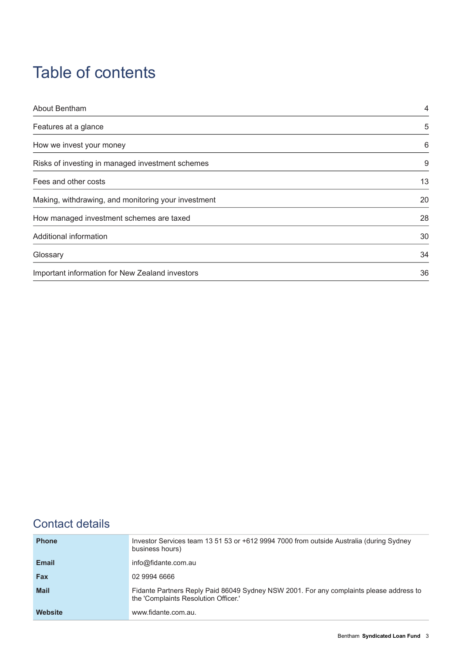# Table of contents

| About Bentham                                       | 4               |
|-----------------------------------------------------|-----------------|
| Features at a glance                                | 5               |
| How we invest your money                            | $6\phantom{1}6$ |
| Risks of investing in managed investment schemes    | 9               |
| Fees and other costs                                | 13              |
| Making, withdrawing, and monitoring your investment | 20              |
| How managed investment schemes are taxed            | 28              |
| Additional information                              | 30              |
| Glossary                                            | 34              |
| Important information for New Zealand investors     | 36              |

# Contact details

| <b>Phone</b> | Investor Services team 13 51 53 or +612 9994 7000 from outside Australia (during Sydney<br>business hours)                      |
|--------------|---------------------------------------------------------------------------------------------------------------------------------|
| <b>Email</b> | info@fidante.com.au                                                                                                             |
| <b>Fax</b>   | 02 9994 6666                                                                                                                    |
| <b>Mail</b>  | Fidante Partners Reply Paid 86049 Sydney NSW 2001. For any complaints please address to<br>the 'Complaints Resolution Officer.' |
| Website      | www.fidante.com.au.                                                                                                             |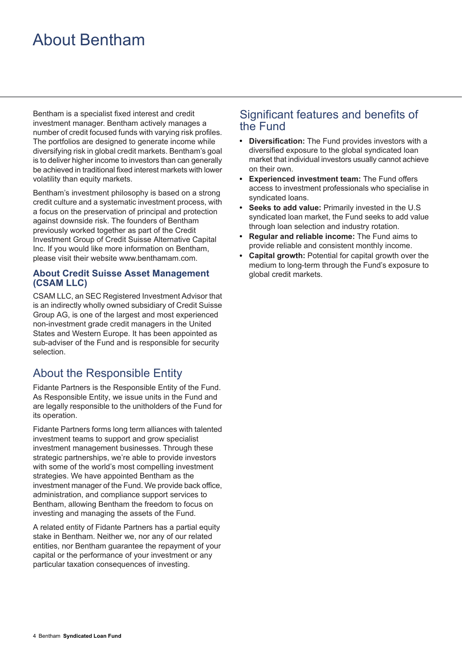# About Bentham

Bentham is a specialist fixed interest and credit investment manager. Bentham actively manages a number of credit focused funds with varying risk profiles. The portfolios are designed to generate income while diversifying risk in global credit markets. Bentham's goal is to deliver higher income to investors than can generally be achieved in traditional fixed interest markets with lower volatility than equity markets.

Bentham's investment philosophy is based on a strong credit culture and a systematic investment process, with a focus on the preservation of principal and protection against downside risk. The founders of Bentham previously worked together as part of the Credit Investment Group of Credit Suisse Alternative Capital Inc. If you would like more information on Bentham, please visit their website www.benthamam.com.

## **About Credit Suisse Asset Management (CSAM LLC)**

CSAM LLC, an SEC Registered Investment Advisor that is an indirectly wholly owned subsidiary of Credit Suisse Group AG, is one of the largest and most experienced non-investment grade credit managers in the United States and Western Europe. It has been appointed as sub-adviser of the Fund and is responsible for security selection.

# About the Responsible Entity

Fidante Partners is the Responsible Entity of the Fund. As Responsible Entity, we issue units in the Fund and are legally responsible to the unitholders of the Fund for its operation.

Fidante Partners forms long term alliances with talented investment teams to support and grow specialist investment management businesses. Through these strategic partnerships, we're able to provide investors with some of the world's most compelling investment strategies. We have appointed Bentham as the investment manager of the Fund. We provide back office, administration, and compliance support services to Bentham, allowing Bentham the freedom to focus on investing and managing the assets of the Fund.

A related entity of Fidante Partners has a partial equity stake in Bentham. Neither we, nor any of our related entities, nor Bentham guarantee the repayment of your capital or the performance of your investment or any particular taxation consequences of investing.

## Significant features and benefits of the Fund

- **Diversification:** The Fund provides investors with a diversified exposure to the global syndicated loan market that individual investors usually cannot achieve on their own.
- **Experienced investment team:** The Fund offers access to investment professionals who specialise in syndicated loans.
- **Seeks to add value:** Primarily invested in the U.S syndicated loan market, the Fund seeks to add value through loan selection and industry rotation.
- **Regular and reliable income:** The Fund aims to provide reliable and consistent monthly income.
- **Capital growth:** Potential for capital growth over the medium to long-term through the Fund's exposure to global credit markets.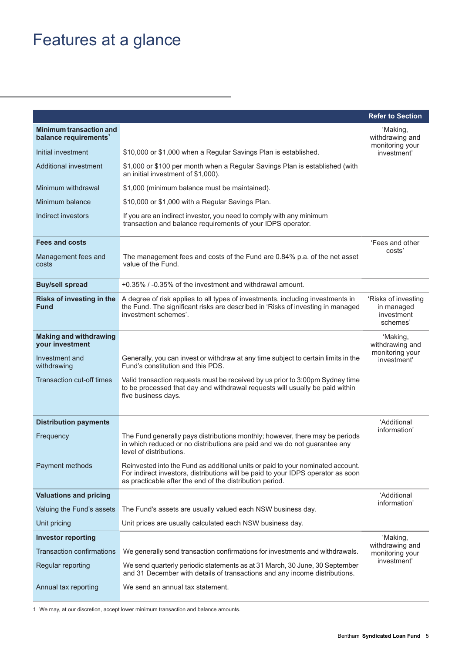# Features at a glance

|                                                         |                                                                                                                                                                                                                                 | <b>Refer to Section</b>                                     |
|---------------------------------------------------------|---------------------------------------------------------------------------------------------------------------------------------------------------------------------------------------------------------------------------------|-------------------------------------------------------------|
| <b>Minimum transaction and</b><br>balance requirements' |                                                                                                                                                                                                                                 | 'Making,<br>withdrawing and<br>monitoring your              |
| Initial investment                                      | \$10,000 or \$1,000 when a Regular Savings Plan is established.                                                                                                                                                                 | investment'                                                 |
| <b>Additional investment</b>                            | \$1,000 or \$100 per month when a Regular Savings Plan is established (with<br>an initial investment of \$1,000).                                                                                                               |                                                             |
| Minimum withdrawal                                      | \$1,000 (minimum balance must be maintained).                                                                                                                                                                                   |                                                             |
| Minimum balance                                         | \$10,000 or \$1,000 with a Regular Savings Plan.                                                                                                                                                                                |                                                             |
| Indirect investors                                      | If you are an indirect investor, you need to comply with any minimum<br>transaction and balance requirements of your IDPS operator.                                                                                             |                                                             |
| <b>Fees and costs</b>                                   |                                                                                                                                                                                                                                 | 'Fees and other                                             |
| Management fees and<br>costs                            | The management fees and costs of the Fund are 0.84% p.a. of the net asset<br>value of the Fund.                                                                                                                                 | costs'                                                      |
| <b>Buy/sell spread</b>                                  | +0.35% / -0.35% of the investment and withdrawal amount.                                                                                                                                                                        |                                                             |
| Risks of investing in the<br><b>Fund</b>                | A degree of risk applies to all types of investments, including investments in<br>the Fund. The significant risks are described in 'Risks of investing in managed<br>investment schemes'.                                       | 'Risks of investing<br>in managed<br>investment<br>schemes' |
| <b>Making and withdrawing</b><br>your investment        |                                                                                                                                                                                                                                 | 'Making,<br>withdrawing and<br>monitoring your              |
| Investment and<br>withdrawing                           | Generally, you can invest or withdraw at any time subject to certain limits in the<br>Fund's constitution and this PDS.                                                                                                         | investment'                                                 |
| <b>Transaction cut-off times</b>                        | Valid transaction requests must be received by us prior to 3:00pm Sydney time<br>to be processed that day and withdrawal requests will usually be paid within<br>five business days.                                            |                                                             |
| <b>Distribution payments</b>                            |                                                                                                                                                                                                                                 | 'Additional                                                 |
| Frequency                                               | The Fund generally pays distributions monthly; however, there may be periods<br>in which reduced or no distributions are paid and we do not guarantee any<br>level of distributions.                                            | information'                                                |
| Payment methods                                         | Reinvested into the Fund as additional units or paid to your nominated account.<br>For indirect investors, distributions will be paid to your IDPS operator as soon<br>as practicable after the end of the distribution period. |                                                             |
| <b>Valuations and pricing</b>                           |                                                                                                                                                                                                                                 | 'Additional<br>information'                                 |
| Valuing the Fund's assets                               | The Fund's assets are usually valued each NSW business day.                                                                                                                                                                     |                                                             |
| Unit pricing                                            | Unit prices are usually calculated each NSW business day.                                                                                                                                                                       |                                                             |
| <b>Investor reporting</b>                               |                                                                                                                                                                                                                                 | 'Making,<br>withdrawing and                                 |
| <b>Transaction confirmations</b>                        | We generally send transaction confirmations for investments and withdrawals.                                                                                                                                                    | monitoring your                                             |
| Regular reporting                                       | We send quarterly periodic statements as at 31 March, 30 June, 30 September<br>and 31 December with details of transactions and any income distributions.                                                                       | investment'                                                 |
| Annual tax reporting                                    | We send an annual tax statement.                                                                                                                                                                                                |                                                             |

1. We may, at our discretion, accept lower minimum transaction and balance amounts.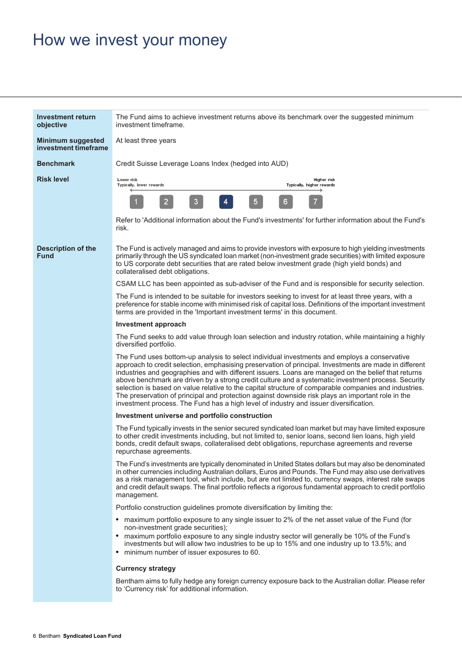# How we invest your money

| <b>Investment return</b><br>objective            | The Fund aims to achieve investment returns above its benchmark over the suggested minimum<br>investment timeframe.                                                                                                                                                                                                                                                                                                                                                                                                                                                                                                                                                                                                         |  |
|--------------------------------------------------|-----------------------------------------------------------------------------------------------------------------------------------------------------------------------------------------------------------------------------------------------------------------------------------------------------------------------------------------------------------------------------------------------------------------------------------------------------------------------------------------------------------------------------------------------------------------------------------------------------------------------------------------------------------------------------------------------------------------------------|--|
| <b>Minimum suggested</b><br>investment timeframe | At least three years                                                                                                                                                                                                                                                                                                                                                                                                                                                                                                                                                                                                                                                                                                        |  |
| <b>Benchmark</b>                                 | Credit Suisse Leverage Loans Index (hedged into AUD)                                                                                                                                                                                                                                                                                                                                                                                                                                                                                                                                                                                                                                                                        |  |
| <b>Risk level</b>                                | Lower risk<br>Higher risk<br>Typically, lower rewards<br>Typically, higher rewards                                                                                                                                                                                                                                                                                                                                                                                                                                                                                                                                                                                                                                          |  |
|                                                  | 5 <sub>5</sub><br>2<br>3<br>4<br>6                                                                                                                                                                                                                                                                                                                                                                                                                                                                                                                                                                                                                                                                                          |  |
|                                                  | Refer to 'Additional information about the Fund's investments' for further information about the Fund's<br>risk.                                                                                                                                                                                                                                                                                                                                                                                                                                                                                                                                                                                                            |  |
| <b>Description of the</b><br><b>Fund</b>         | The Fund is actively managed and aims to provide investors with exposure to high yielding investments<br>primarily through the US syndicated loan market (non-investment grade securities) with limited exposure<br>to US corporate debt securities that are rated below investment grade (high yield bonds) and<br>collateralised debt obligations.                                                                                                                                                                                                                                                                                                                                                                        |  |
|                                                  | CSAM LLC has been appointed as sub-adviser of the Fund and is responsible for security selection.                                                                                                                                                                                                                                                                                                                                                                                                                                                                                                                                                                                                                           |  |
|                                                  | The Fund is intended to be suitable for investors seeking to invest for at least three years, with a<br>preference for stable income with minimised risk of capital loss. Definitions of the important investment<br>terms are provided in the 'Important investment terms' in this document.                                                                                                                                                                                                                                                                                                                                                                                                                               |  |
|                                                  | <b>Investment approach</b>                                                                                                                                                                                                                                                                                                                                                                                                                                                                                                                                                                                                                                                                                                  |  |
|                                                  | The Fund seeks to add value through loan selection and industry rotation, while maintaining a highly<br>diversified portfolio.                                                                                                                                                                                                                                                                                                                                                                                                                                                                                                                                                                                              |  |
|                                                  | The Fund uses bottom-up analysis to select individual investments and employs a conservative<br>approach to credit selection, emphasising preservation of principal. Investments are made in different<br>industries and geographies and with different issuers. Loans are managed on the belief that returns<br>above benchmark are driven by a strong credit culture and a systematic investment process. Security<br>selection is based on value relative to the capital structure of comparable companies and industries.<br>The preservation of principal and protection against downside risk plays an important role in the<br>investment process. The Fund has a high level of industry and issuer diversification. |  |
|                                                  | Investment universe and portfolio construction                                                                                                                                                                                                                                                                                                                                                                                                                                                                                                                                                                                                                                                                              |  |
|                                                  | The Fund typically invests in the senior secured syndicated loan market but may have limited exposure<br>to other credit investments including, but not limited to, senior loans, second lien loans, high yield<br>bonds, credit default swaps, collateralised debt obligations, repurchase agreements and reverse<br>repurchase agreements.                                                                                                                                                                                                                                                                                                                                                                                |  |
|                                                  | The Fund's investments are typically denominated in United States dollars but may also be denominated<br>in other currencies including Australian dollars, Euros and Pounds. The Fund may also use derivatives<br>as a risk management tool, which include, but are not limited to, currency swaps, interest rate swaps<br>and credit default swaps. The final portfolio reflects a rigorous fundamental approach to credit portfolio<br>management.                                                                                                                                                                                                                                                                        |  |
|                                                  | Portfolio construction guidelines promote diversification by limiting the:                                                                                                                                                                                                                                                                                                                                                                                                                                                                                                                                                                                                                                                  |  |
|                                                  | • maximum portfolio exposure to any single issuer to 2% of the net asset value of the Fund (for<br>non-investment grade securities);<br>• maximum portfolio exposure to any single industry sector will generally be 10% of the Fund's<br>investments but will allow two industries to be up to 15% and one industry up to 13.5%; and<br>• minimum number of issuer exposures to 60.                                                                                                                                                                                                                                                                                                                                        |  |
|                                                  | <b>Currency strategy</b>                                                                                                                                                                                                                                                                                                                                                                                                                                                                                                                                                                                                                                                                                                    |  |
|                                                  | Bentham aims to fully hedge any foreign currency exposure back to the Australian dollar. Please refer<br>to 'Currency risk' for additional information.                                                                                                                                                                                                                                                                                                                                                                                                                                                                                                                                                                     |  |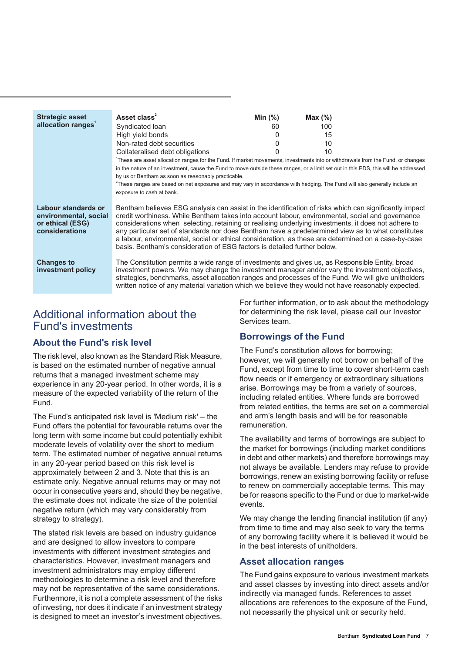| <b>Strategic asset</b>                                                             | Asset class <sup>2</sup>                                                                                                                                                                                                                                                                                                                                                                                                                                                                                                                                                                                  | Min $(%)$ | Max $(\%)$ |  |
|------------------------------------------------------------------------------------|-----------------------------------------------------------------------------------------------------------------------------------------------------------------------------------------------------------------------------------------------------------------------------------------------------------------------------------------------------------------------------------------------------------------------------------------------------------------------------------------------------------------------------------------------------------------------------------------------------------|-----------|------------|--|
| allocation ranges <sup>1</sup>                                                     | Syndicated Ioan                                                                                                                                                                                                                                                                                                                                                                                                                                                                                                                                                                                           | 60        | 100        |  |
|                                                                                    | High yield bonds                                                                                                                                                                                                                                                                                                                                                                                                                                                                                                                                                                                          |           | 15         |  |
|                                                                                    | Non-rated debt securities                                                                                                                                                                                                                                                                                                                                                                                                                                                                                                                                                                                 |           | 10         |  |
|                                                                                    | Collateralised debt obligations                                                                                                                                                                                                                                                                                                                                                                                                                                                                                                                                                                           |           | 10         |  |
|                                                                                    | These are asset allocation ranges for the Fund. If market movements, investments into or withdrawals from the Fund, or changes                                                                                                                                                                                                                                                                                                                                                                                                                                                                            |           |            |  |
|                                                                                    | in the nature of an investment, cause the Fund to move outside these ranges, or a limit set out in this PDS, this will be addressed<br>by us or Bentham as soon as reasonably practicable.                                                                                                                                                                                                                                                                                                                                                                                                                |           |            |  |
|                                                                                    | <sup>2</sup> These ranges are based on net exposures and may vary in accordance with hedging. The Fund will also generally include an<br>exposure to cash at bank.                                                                                                                                                                                                                                                                                                                                                                                                                                        |           |            |  |
| Labour standards or<br>environmental, social<br>or ethical (ESG)<br>considerations | Bentham believes ESG analysis can assist in the identification of risks which can significantly impact<br>credit worthiness. While Bentham takes into account labour, environmental, social and governance<br>considerations when selecting, retaining or realising underlying investments, it does not adhere to<br>any particular set of standards nor does Bentham have a predetermined view as to what constitutes<br>a labour, environmental, social or ethical consideration, as these are determined on a case-by-case<br>basis. Bentham's consideration of ESG factors is detailed further below. |           |            |  |
| <b>Changes to</b><br>investment policy                                             | The Constitution permits a wide range of investments and gives us, as Responsible Entity, broad<br>investment powers. We may change the investment manager and/or vary the investment objectives,<br>strategies, benchmarks, asset allocation ranges and processes of the Fund. We will give unitholders<br>written notice of any material variation which we believe they would not have reasonably expected.                                                                                                                                                                                            |           |            |  |

## Additional information about the Fund's investments

## **About the Fund's risk level**

The risk level, also known as the Standard Risk Measure. is based on the estimated number of negative annual returns that a managed investment scheme may experience in any 20-year period. In other words, it is a measure of the expected variability of the return of the Fund.

The Fund's anticipated risk level is 'Medium risk' – the Fund offers the potential for favourable returns over the long term with some income but could potentially exhibit moderate levels of volatility over the short to medium term. The estimated number of negative annual returns in any 20-year period based on this risk level is approximately between 2 and 3. Note that this is an estimate only. Negative annual returns may or may not occur in consecutive years and, should they be negative, the estimate does not indicate the size of the potential negative return (which may vary considerably from strategy to strategy).

The stated risk levels are based on industry guidance and are designed to allow investors to compare investments with different investment strategies and characteristics. However, investment managers and investment administrators may employ different methodologies to determine a risk level and therefore may not be representative of the same considerations. Furthermore, it is not a complete assessment of the risks of investing, nor does it indicate if an investment strategy is designed to meet an investor's investment objectives.

For further information, or to ask about the methodology for determining the risk level, please call our Investor Services team.

## **Borrowings of the Fund**

The Fund's constitution allows for borrowing; however, we will generally not borrow on behalf of the Fund, except from time to time to cover short-term cash flow needs or if emergency or extraordinary situations arise. Borrowings may be from a variety of sources, including related entities. Where funds are borrowed from related entities, the terms are set on a commercial and arm's length basis and will be for reasonable remuneration.

The availability and terms of borrowings are subject to the market for borrowings (including market conditions in debt and other markets) and therefore borrowings may not always be available. Lenders may refuse to provide borrowings, renew an existing borrowing facility or refuse to renew on commercially acceptable terms. This may be for reasons specific to the Fund or due to market-wide events.

We may change the lending financial institution (if any) from time to time and may also seek to vary the terms of any borrowing facility where it is believed it would be in the best interests of unitholders.

## **Asset allocation ranges**

The Fund gains exposure to various investment markets and asset classes by investing into direct assets and/or indirectly via managed funds. References to asset allocations are references to the exposure of the Fund, not necessarily the physical unit or security held.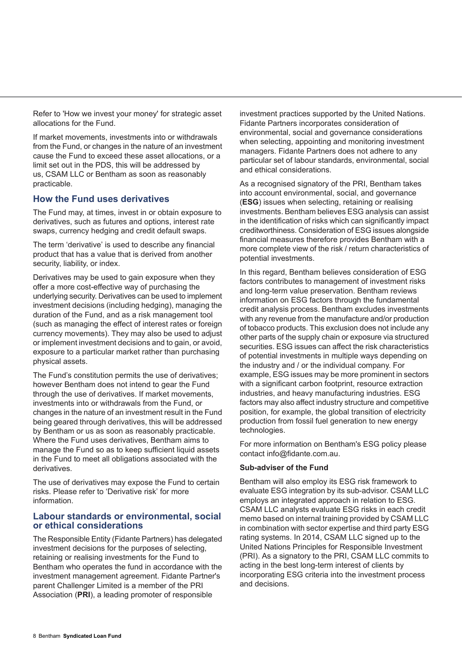Refer to 'How we invest your money' for strategic asset allocations for the Fund.

If market movements, investments into or withdrawals from the Fund, or changes in the nature of an investment cause the Fund to exceed these asset allocations, or a limit set out in the PDS, this will be addressed by us, CSAM LLC or Bentham as soon as reasonably practicable.

## **How the Fund uses derivatives**

The Fund may, at times, invest in or obtain exposure to derivatives, such as futures and options, interest rate swaps, currency hedging and credit default swaps.

The term 'derivative' is used to describe any financial product that has a value that is derived from another security, liability, or index.

Derivatives may be used to gain exposure when they offer a more cost-effective way of purchasing the underlying security. Derivatives can be used to implement investment decisions (including hedging), managing the duration of the Fund, and as a risk management tool (such as managing the effect of interest rates or foreign currency movements). They may also be used to adjust or implement investment decisions and to gain, or avoid, exposure to a particular market rather than purchasing physical assets.

The Fund's constitution permits the use of derivatives; however Bentham does not intend to gear the Fund through the use of derivatives. If market movements, investments into or withdrawals from the Fund, or changes in the nature of an investment result in the Fund being geared through derivatives, this will be addressed by Bentham or us as soon as reasonably practicable. Where the Fund uses derivatives, Bentham aims to manage the Fund so as to keep sufficient liquid assets in the Fund to meet all obligations associated with the derivatives.

The use of derivatives may expose the Fund to certain risks. Please refer to 'Derivative risk' for more information.

### **Labour standards or environmental, social or ethical considerations**

The Responsible Entity (Fidante Partners) has delegated investment decisions for the purposes of selecting, retaining or realising investments for the Fund to Bentham who operates the fund in accordance with the investment management agreement. Fidante Partner's parent Challenger Limited is a member of the PRI Association (**PRI**), a leading promoter of responsible

investment practices supported by the United Nations. Fidante Partners incorporates consideration of environmental, social and governance considerations when selecting, appointing and monitoring investment managers. Fidante Partners does not adhere to any particular set of labour standards, environmental, social and ethical considerations.

As a recognised signatory of the PRI, Bentham takes into account environmental, social, and governance (**ESG**) issues when selecting, retaining or realising investments. Bentham believes ESG analysis can assist in the identification of risks which can significantly impact creditworthiness. Consideration of ESG issues alongside financial measures therefore provides Bentham with a more complete view of the risk / return characteristics of potential investments.

In this regard, Bentham believes consideration of ESG factors contributes to management of investment risks and long-term value preservation. Bentham reviews information on ESG factors through the fundamental credit analysis process. Bentham excludes investments with any revenue from the manufacture and/or production of tobacco products. This exclusion does not include any other parts of the supply chain or exposure via structured securities. ESG issues can affect the risk characteristics of potential investments in multiple ways depending on the industry and / or the individual company. For example, ESG issues may be more prominent in sectors with a significant carbon footprint, resource extraction industries, and heavy manufacturing industries. ESG factors may also affect industry structure and competitive position, for example, the global transition of electricity production from fossil fuel generation to new energy technologies.

For more information on Bentham's ESG policy please contact info@fidante.com.au.

### **Sub-adviser of the Fund**

Bentham will also employ its ESG risk framework to evaluate ESG integration by its sub-advisor. CSAM LLC employs an integrated approach in relation to ESG. CSAM LLC analysts evaluate ESG risks in each credit memo based on internal training provided by CSAM LLC in combination with sector expertise and third party ESG rating systems. In 2014, CSAM LLC signed up to the United Nations Principles for Responsible Investment (PRI). As a signatory to the PRI, CSAM LLC commits to acting in the best long-term interest of clients by incorporating ESG criteria into the investment process and decisions.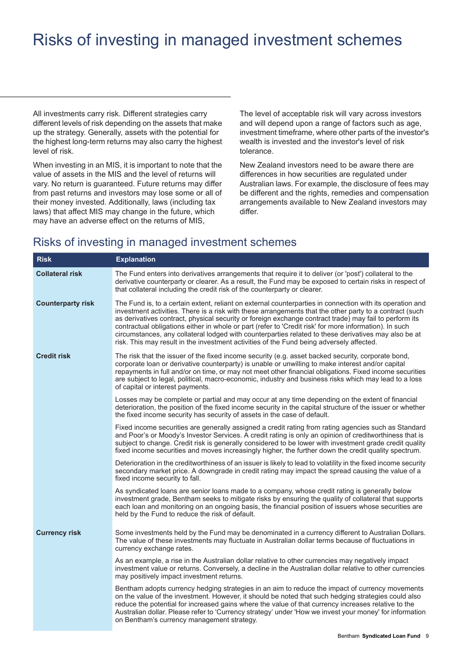# Risks of investing in managed investment schemes

All investments carry risk. Different strategies carry different levels of risk depending on the assets that make up the strategy. Generally, assets with the potential for the highest long-term returns may also carry the highest level of risk.

When investing in an MIS, it is important to note that the value of assets in the MIS and the level of returns will vary. No return is guaranteed. Future returns may differ from past returns and investors may lose some or all of their money invested. Additionally, laws (including tax laws) that affect MIS may change in the future, which may have an adverse effect on the returns of MIS,

The level of acceptable risk will vary across investors and will depend upon a range of factors such as age, investment timeframe, where other parts of the investor's wealth is invested and the investor's level of risk tolerance.

New Zealand investors need to be aware there are differences in how securities are regulated under Australian laws. For example, the disclosure of fees may be different and the rights, remedies and compensation arrangements available to New Zealand investors may differ.

#### **Risk Explanation** The Fund enters into derivatives arrangements that require it to deliver (or 'post') collateral to the derivative counterparty or clearer. As a result, the Fund may be exposed to certain risks in respect of that collateral including the credit risk of the counterparty or clearer. **Collateral risk** The Fund is, to a certain extent, reliant on external counterparties in connection with its operation and investment activities. There is a risk with these arrangements that the other party to a contract (such as derivatives contract, physical security or foreign exchange contract trade) may fail to perform its contractual obligations either in whole or part (refer to 'Credit risk' for more information). In such circumstances, any collateral lodged with counterparties related to these derivatives may also be at risk. This may result in the investment activities of the Fund being adversely affected. **Counterparty risk** The risk that the issuer of the fixed income security (e.g. asset backed security, corporate bond, corporate loan or derivative counterparty) is unable or unwilling to make interest and/or capital repayments in full and/or on time, or may not meet other financial obligations. Fixed income securities are subject to legal, political, macro-economic, industry and business risks which may lead to a loss of capital or interest payments. Losses may be complete or partial and may occur at any time depending on the extent of financial deterioration, the position of the fixed income security in the capital structure of the issuer or whether the fixed income security has security of assets in the case of default. Fixed income securities are generally assigned a credit rating from rating agencies such as Standard and Poor's or Moody's Investor Services. A credit rating is only an opinion of creditworthiness that is subject to change. Credit risk is generally considered to be lower with investment grade credit quality fixed income securities and moves increasingly higher, the further down the credit quality spectrum. Deterioration in the creditworthiness of an issuer is likely to lead to volatility in the fixed income security secondary market price. A downgrade in credit rating may impact the spread causing the value of a fixed income security to fall. As syndicated loans are senior loans made to a company, whose credit rating is generally below investment grade, Bentham seeks to mitigate risks by ensuring the quality of collateral that supports each loan and monitoring on an ongoing basis, the financial position of issuers whose securities are held by the Fund to reduce the risk of default. **Credit risk** Some investments held by the Fund may be denominated in a currency different to Australian Dollars. The value of these investments may fluctuate in Australian dollar terms because of fluctuations in currency exchange rates. As an example, a rise in the Australian dollar relative to other currencies may negatively impact investment value or returns. Conversely, a decline in the Australian dollar relative to other currencies may positively impact investment returns. Bentham adopts currency hedging strategies in an aim to reduce the impact of currency movements on the value of the investment. However, it should be noted that such hedging strategies could also reduce the potential for increased gains where the value of that currency increases relative to the Australian dollar. Please refer to 'Currency strategy' under 'How we invest your money' for information on Bentham's currency management strategy. **Currency risk**

# Risks of investing in managed investment schemes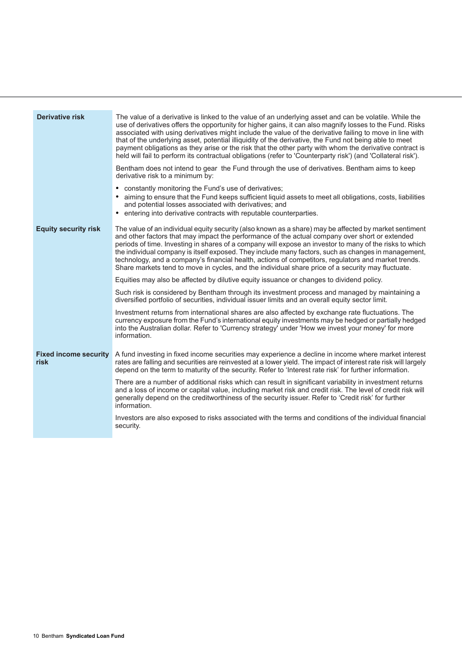| <b>Derivative risk</b>               | The value of a derivative is linked to the value of an underlying asset and can be volatile. While the<br>use of derivatives offers the opportunity for higher gains, it can also magnify losses to the Fund. Risks<br>associated with using derivatives might include the value of the derivative failing to move in line with<br>that of the underlying asset, potential illiquidity of the derivative, the Fund not being able to meet<br>payment obligations as they arise or the risk that the other party with whom the derivative contract is<br>held will fail to perform its contractual obligations (refer to 'Counterparty risk') (and 'Collateral risk').<br>Bentham does not intend to gear the Fund through the use of derivatives. Bentham aims to keep |
|--------------------------------------|------------------------------------------------------------------------------------------------------------------------------------------------------------------------------------------------------------------------------------------------------------------------------------------------------------------------------------------------------------------------------------------------------------------------------------------------------------------------------------------------------------------------------------------------------------------------------------------------------------------------------------------------------------------------------------------------------------------------------------------------------------------------|
|                                      | derivative risk to a minimum by:<br>• constantly monitoring the Fund's use of derivatives;<br>• aiming to ensure that the Fund keeps sufficient liquid assets to meet all obligations, costs, liabilities<br>and potential losses associated with derivatives; and<br>• entering into derivative contracts with reputable counterparties.                                                                                                                                                                                                                                                                                                                                                                                                                              |
| <b>Equity security risk</b>          | The value of an individual equity security (also known as a share) may be affected by market sentiment<br>and other factors that may impact the performance of the actual company over short or extended<br>periods of time. Investing in shares of a company will expose an investor to many of the risks to which<br>the individual company is itself exposed. They include many factors, such as changes in management,<br>technology, and a company's financial health, actions of competitors, regulators and market trends.<br>Share markets tend to move in cycles, and the individual share price of a security may fluctuate.                                                                                                                                 |
|                                      | Equities may also be affected by dilutive equity issuance or changes to dividend policy.                                                                                                                                                                                                                                                                                                                                                                                                                                                                                                                                                                                                                                                                               |
|                                      | Such risk is considered by Bentham through its investment process and managed by maintaining a<br>diversified portfolio of securities, individual issuer limits and an overall equity sector limit.                                                                                                                                                                                                                                                                                                                                                                                                                                                                                                                                                                    |
|                                      | Investment returns from international shares are also affected by exchange rate fluctuations. The<br>currency exposure from the Fund's international equity investments may be hedged or partially hedged<br>into the Australian dollar. Refer to 'Currency strategy' under 'How we invest your money' for more<br>information.                                                                                                                                                                                                                                                                                                                                                                                                                                        |
| <b>Fixed income security</b><br>risk | A fund investing in fixed income securities may experience a decline in income where market interest<br>rates are falling and securities are reinvested at a lower yield. The impact of interest rate risk will largely<br>depend on the term to maturity of the security. Refer to 'Interest rate risk' for further information.                                                                                                                                                                                                                                                                                                                                                                                                                                      |
|                                      | There are a number of additional risks which can result in significant variability in investment returns<br>and a loss of income or capital value, including market risk and credit risk. The level of credit risk will<br>generally depend on the creditworthiness of the security issuer. Refer to 'Credit risk' for further<br>information.                                                                                                                                                                                                                                                                                                                                                                                                                         |
|                                      | Investors are also exposed to risks associated with the terms and conditions of the individual financial<br>security.                                                                                                                                                                                                                                                                                                                                                                                                                                                                                                                                                                                                                                                  |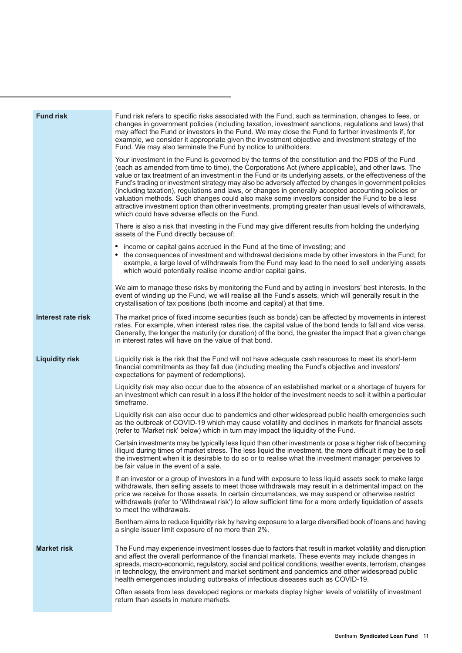| <b>Fund risk</b>      | Fund risk refers to specific risks associated with the Fund, such as termination, changes to fees, or<br>changes in government policies (including taxation, investment sanctions, regulations and laws) that<br>may affect the Fund or investors in the Fund. We may close the Fund to further investments if, for<br>example, we consider it appropriate given the investment objective and investment strategy of the<br>Fund. We may also terminate the Fund by notice to unitholders.                                                                                                                                                                                                                                                                                                        |
|-----------------------|---------------------------------------------------------------------------------------------------------------------------------------------------------------------------------------------------------------------------------------------------------------------------------------------------------------------------------------------------------------------------------------------------------------------------------------------------------------------------------------------------------------------------------------------------------------------------------------------------------------------------------------------------------------------------------------------------------------------------------------------------------------------------------------------------|
|                       | Your investment in the Fund is governed by the terms of the constitution and the PDS of the Fund<br>(each as amended from time to time), the Corporations Act (where applicable), and other laws. The<br>value or tax treatment of an investment in the Fund or its underlying assets, or the effectiveness of the<br>Fund's trading or investment strategy may also be adversely affected by changes in government policies<br>(including taxation), regulations and laws, or changes in generally accepted accounting policies or<br>valuation methods. Such changes could also make some investors consider the Fund to be a less<br>attractive investment option than other investments, prompting greater than usual levels of withdrawals,<br>which could have adverse effects on the Fund. |
|                       | There is also a risk that investing in the Fund may give different results from holding the underlying<br>assets of the Fund directly because of:                                                                                                                                                                                                                                                                                                                                                                                                                                                                                                                                                                                                                                                 |
|                       | income or capital gains accrued in the Fund at the time of investing; and<br>the consequences of investment and withdrawal decisions made by other investors in the Fund; for<br>example, a large level of withdrawals from the Fund may lead to the need to sell underlying assets<br>which would potentially realise income and/or capital gains.                                                                                                                                                                                                                                                                                                                                                                                                                                               |
|                       | We aim to manage these risks by monitoring the Fund and by acting in investors' best interests. In the<br>event of winding up the Fund, we will realise all the Fund's assets, which will generally result in the<br>crystallisation of tax positions (both income and capital) at that time.                                                                                                                                                                                                                                                                                                                                                                                                                                                                                                     |
| Interest rate risk    | The market price of fixed income securities (such as bonds) can be affected by movements in interest<br>rates. For example, when interest rates rise, the capital value of the bond tends to fall and vice versa.<br>Generally, the longer the maturity (or duration) of the bond, the greater the impact that a given change<br>in interest rates will have on the value of that bond.                                                                                                                                                                                                                                                                                                                                                                                                           |
| <b>Liquidity risk</b> | Liquidity risk is the risk that the Fund will not have adequate cash resources to meet its short-term<br>financial commitments as they fall due (including meeting the Fund's objective and investors'<br>expectations for payment of redemptions).                                                                                                                                                                                                                                                                                                                                                                                                                                                                                                                                               |
|                       | Liquidity risk may also occur due to the absence of an established market or a shortage of buyers for<br>an investment which can result in a loss if the holder of the investment needs to sell it within a particular<br>timeframe.                                                                                                                                                                                                                                                                                                                                                                                                                                                                                                                                                              |
|                       | Liquidity risk can also occur due to pandemics and other widespread public health emergencies such<br>as the outbreak of COVID-19 which may cause volatility and declines in markets for financial assets<br>(refer to 'Market risk' below) which in turn may impact the liquidity of the Fund.                                                                                                                                                                                                                                                                                                                                                                                                                                                                                                   |
|                       | Certain investments may be typically less liquid than other investments or pose a higher risk of becoming<br>illiquid during times of market stress. The less liquid the investment, the more difficult it may be to sell<br>the investment when it is desirable to do so or to realise what the investment manager perceives to<br>be fair value in the event of a sale.                                                                                                                                                                                                                                                                                                                                                                                                                         |
|                       | If an investor or a group of investors in a fund with exposure to less liquid assets seek to make large<br>withdrawals, then selling assets to meet those withdrawals may result in a detrimental impact on the<br>price we receive for those assets. In certain circumstances, we may suspend or otherwise restrict<br>withdrawals (refer to 'Withdrawal risk') to allow sufficient time for a more orderly liquidation of assets<br>to meet the withdrawals.                                                                                                                                                                                                                                                                                                                                    |
|                       | Bentham aims to reduce liquidity risk by having exposure to a large diversified book of loans and having<br>a single issuer limit exposure of no more than 2%.                                                                                                                                                                                                                                                                                                                                                                                                                                                                                                                                                                                                                                    |
| <b>Market risk</b>    | The Fund may experience investment losses due to factors that result in market volatility and disruption<br>and affect the overall performance of the financial markets. These events may include changes in<br>spreads, macro-economic, regulatory, social and political conditions, weather events, terrorism, changes<br>in technology, the environment and market sentiment and pandemics and other widespread public<br>health emergencies including outbreaks of infectious diseases such as COVID-19.                                                                                                                                                                                                                                                                                      |
|                       | Often assets from less developed regions or markets display higher levels of volatility of investment<br>return than assets in mature markets.                                                                                                                                                                                                                                                                                                                                                                                                                                                                                                                                                                                                                                                    |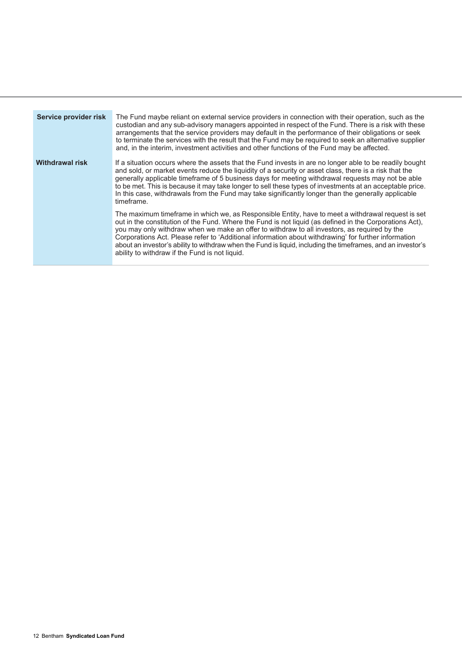| Service provider risk  | The Fund maybe reliant on external service providers in connection with their operation, such as the<br>custodian and any sub-advisory managers appointed in respect of the Fund. There is a risk with these<br>arrangements that the service providers may default in the performance of their obligations or seek<br>to terminate the services with the result that the Fund may be required to seek an alternative supplier<br>and, in the interim, investment activities and other functions of the Fund may be affected.                                                           |
|------------------------|-----------------------------------------------------------------------------------------------------------------------------------------------------------------------------------------------------------------------------------------------------------------------------------------------------------------------------------------------------------------------------------------------------------------------------------------------------------------------------------------------------------------------------------------------------------------------------------------|
| <b>Withdrawal risk</b> | If a situation occurs where the assets that the Fund invests in are no longer able to be readily bought<br>and sold, or market events reduce the liquidity of a security or asset class, there is a risk that the<br>generally applicable timeframe of 5 business days for meeting withdrawal requests may not be able<br>to be met. This is because it may take longer to sell these types of investments at an acceptable price.<br>In this case, withdrawals from the Fund may take significantly longer than the generally applicable<br>timeframe.                                 |
|                        | The maximum timeframe in which we, as Responsible Entity, have to meet a withdrawal request is set<br>out in the constitution of the Fund. Where the Fund is not liquid (as defined in the Corporations Act),<br>you may only withdraw when we make an offer to withdraw to all investors, as required by the<br>Corporations Act. Please refer to 'Additional information about withdrawing' for further information<br>about an investor's ability to withdraw when the Fund is liquid, including the timeframes, and an investor's<br>ability to withdraw if the Fund is not liquid. |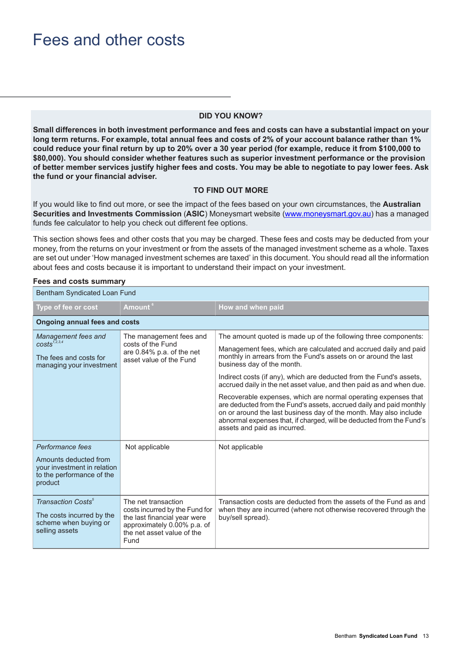# Fees and other costs

#### **DID YOU KNOW?**

**Small differences in both investment performance and fees and costs can have a substantial impact on your** long term returns. For example, total annual fees and costs of 2% of your account balance rather than 1% could reduce your final return by up to 20% over a 30 year period (for example, reduce it from \$100,000 to **\$80,000). You should consider whether features such as superior investment performance or the provision** of better member services justify higher fees and costs. You may be able to negotiate to pay lower fees. Ask **the fund or your financial adviser.**

### **TO FIND OUT MORE**

If you would like to find out more, or see the impact of the fees based on your own circumstances, the **Australian Securities and Investments Commission** (**ASIC**) Moneysmart website (www.moneysmart.gov.au) has a managed funds fee calculator to help you check out different fee options.

This section shows fees and other costs that you may be charged. These fees and costs may be deducted from your money, from the returns on your investment or from the assets of the managed investment scheme as a whole. Taxes are set out under 'How managed investment schemes are taxed' in this document. You should read all the information about fees and costs because it is important to understand their impact on your investment.

#### **Fees and costs summary**

| Bentham Syndicated Loan Fund                                                                                         |                                                                                                                                                            |                                                                                                                                                                                                                                                                                                                                                                                                                                                                                                                                                                                                                                                                                                           |  |  |
|----------------------------------------------------------------------------------------------------------------------|------------------------------------------------------------------------------------------------------------------------------------------------------------|-----------------------------------------------------------------------------------------------------------------------------------------------------------------------------------------------------------------------------------------------------------------------------------------------------------------------------------------------------------------------------------------------------------------------------------------------------------------------------------------------------------------------------------------------------------------------------------------------------------------------------------------------------------------------------------------------------------|--|--|
| Type of fee or cost                                                                                                  | Amount <sup>6</sup>                                                                                                                                        | How and when paid                                                                                                                                                                                                                                                                                                                                                                                                                                                                                                                                                                                                                                                                                         |  |  |
|                                                                                                                      | <b>Ongoing annual fees and costs</b>                                                                                                                       |                                                                                                                                                                                                                                                                                                                                                                                                                                                                                                                                                                                                                                                                                                           |  |  |
| Management fees and<br>$costs$ <sup><math>1,2,3,4</math></sup><br>The fees and costs for<br>managing your investment | The management fees and<br>costs of the Fund<br>are 0.84% p.a. of the net<br>asset value of the Fund                                                       | The amount quoted is made up of the following three components:<br>Management fees, which are calculated and accrued daily and paid<br>monthly in arrears from the Fund's assets on or around the last<br>business day of the month.<br>Indirect costs (if any), which are deducted from the Fund's assets,<br>accrued daily in the net asset value, and then paid as and when due.<br>Recoverable expenses, which are normal operating expenses that<br>are deducted from the Fund's assets, accrued daily and paid monthly<br>on or around the last business day of the month. May also include<br>abnormal expenses that, if charged, will be deducted from the Fund's<br>assets and paid as incurred. |  |  |
| Performance fees<br>Amounts deducted from<br>your investment in relation<br>to the performance of the<br>product     | Not applicable                                                                                                                                             | Not applicable                                                                                                                                                                                                                                                                                                                                                                                                                                                                                                                                                                                                                                                                                            |  |  |
| Transaction Costs <sup>5</sup><br>The costs incurred by the<br>scheme when buying or<br>selling assets               | The net transaction<br>costs incurred by the Fund for<br>the last financial year were<br>approximately 0.00% p.a. of<br>the net asset value of the<br>Fund | Transaction costs are deducted from the assets of the Fund as and<br>when they are incurred (where not otherwise recovered through the<br>buy/sell spread).                                                                                                                                                                                                                                                                                                                                                                                                                                                                                                                                               |  |  |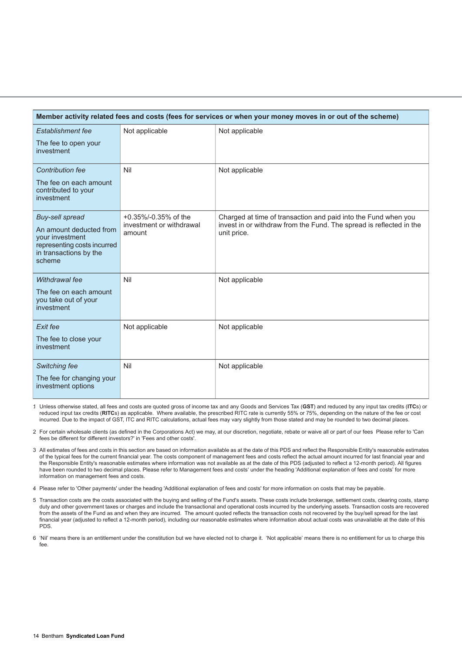| Member activity related fees and costs (fees for services or when your money moves in or out of the scheme)   |                                    |                                                                                    |
|---------------------------------------------------------------------------------------------------------------|------------------------------------|------------------------------------------------------------------------------------|
| Establishment fee                                                                                             | Not applicable                     | Not applicable                                                                     |
| The fee to open your<br>investment                                                                            |                                    |                                                                                    |
| <b>Contribution fee</b>                                                                                       | Nil                                | Not applicable                                                                     |
| The fee on each amount<br>contributed to your<br>investment                                                   |                                    |                                                                                    |
| <b>Buy-sell spread</b>                                                                                        | +0.35%/-0.35% of the               | Charged at time of transaction and paid into the Fund when you                     |
| An amount deducted from<br>your investment<br>representing costs incurred<br>in transactions by the<br>scheme | investment or withdrawal<br>amount | invest in or withdraw from the Fund. The spread is reflected in the<br>unit price. |
| Withdrawal fee                                                                                                | Nil                                | Not applicable                                                                     |
| The fee on each amount<br>you take out of your<br>investment                                                  |                                    |                                                                                    |
| Exit fee                                                                                                      | Not applicable                     | Not applicable                                                                     |
| The fee to close your<br>investment                                                                           |                                    |                                                                                    |
| Switching fee                                                                                                 | Nil                                | Not applicable                                                                     |
| The fee for changing your<br>investment options                                                               |                                    |                                                                                    |

- 1. Unless otherwise stated, all fees and costs are quoted gross of income tax and any Goods and Services Tax (**GST**) and reduced by any input tax credits (**ITC**s) or reduced input tax credits (**RITC**s) as applicable. Where available, the prescribed RITC rate is currently 55% or 75%, depending on the nature of the fee or cost incurred. Due to the impact of GST, ITC and RITC calculations, actual fees may vary slightly from those stated and may be rounded to two decimal places.
- 2. For certain wholesale clients (as defined in the Corporations Act) we may, at our discretion, negotiate, rebate or waive all or part of our fees Please refer to 'Can fees be different for different investors?' in 'Fees and other costs'.
- 3. All estimates of fees and costs in this section are based on information available as at the date of this PDS and reflect the Responsible Entity's reasonable estimates of the typical fees for the current financial year. The costs component of management fees and costs reflect the actual amount incurred for last financial year and the Responsible Entity's reasonable estimates where information was not available as at the date of this PDS (adjusted to reflect a 12-month period). All figures have been rounded to two decimal places. Please refer to Management fees and costs' under the heading 'Additional explanation of fees and costs' for more information on management fees and costs.
- 4. Please refer to 'Other payments' under the heading 'Additional explanation of fees and costs' for more information on costs that may be payable.
- 5. Transaction costs are the costs associated with the buying and selling of the Fund's assets. These costs include brokerage, settlement costs, clearing costs, stamp duty and other government taxes or charges and include the transactional and operational costs incurred by the underlying assets. Transaction costs are recovered from the assets of the Fund as and when they are incurred. The amount quoted reflects the transaction costs not recovered by the buy/sell spread for the last financial year (adjusted to reflect a 12-month period), including our reasonable estimates where information about actual costs was unavailable at the date of this PDS.
- 6. 'Nil' means there is an entitlement under the constitution but we have elected not to charge it. 'Not applicable' means there is no entitlement for us to charge this fee.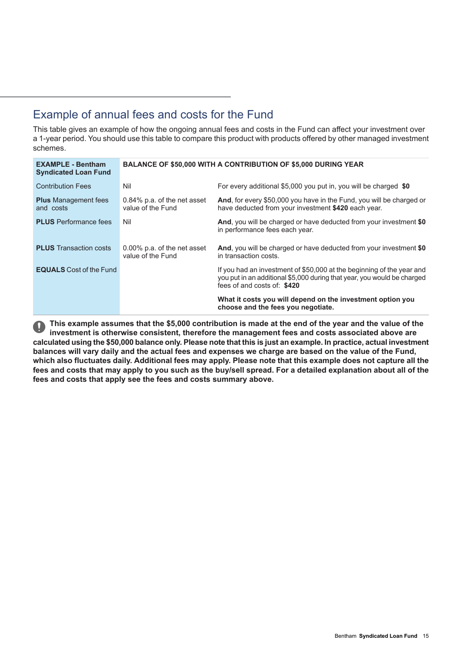# Example of annual fees and costs for the Fund

This table gives an example of how the ongoing annual fees and costs in the Fund can affect your investment over a 1-year period. You should use this table to compare this product with products offered by other managed investment schemes.

| <b>EXAMPLE - Bentham</b><br><b>Syndicated Loan Fund</b> | <b>BALANCE OF \$50,000 WITH A CONTRIBUTION OF \$5,000 DURING YEAR</b> |                                                                                                                                                                                 |
|---------------------------------------------------------|-----------------------------------------------------------------------|---------------------------------------------------------------------------------------------------------------------------------------------------------------------------------|
| <b>Contribution Fees</b>                                | Nil                                                                   | For every additional \$5,000 you put in, you will be charged \$0                                                                                                                |
| <b>Plus</b> Management fees<br>and costs                | 0.84% p.a. of the net asset<br>value of the Fund                      | And, for every \$50,000 you have in the Fund, you will be charged or<br>have deducted from your investment \$420 each year.                                                     |
| <b>PLUS</b> Performance fees                            | Nil                                                                   | And, you will be charged or have deducted from your investment \$0<br>in performance fees each year.                                                                            |
| <b>PLUS</b> Transaction costs                           | 0.00% p.a. of the net asset<br>value of the Fund                      | And, you will be charged or have deducted from your investment \$0<br>in transaction costs.                                                                                     |
| <b>EQUALS</b> Cost of the Fund                          |                                                                       | If you had an investment of \$50,000 at the beginning of the year and<br>you put in an additional \$5,000 during that year, you would be charged<br>fees of and costs of: \$420 |
|                                                         |                                                                       | What it costs you will depend on the investment option you<br>choose and the fees you negotiate.                                                                                |

This example assumes that the \$5,000 contribution is made at the end of the year and the value of the  $\mathbf \Omega$ **investment is otherwise consistent, therefore the management fees and costs associated above are calculated using the\$50,000 balance only. Please notethat thisisjustan example. In practice,actual investment** balances will vary daily and the actual fees and expenses we charge are based on the value of the Fund, which also fluctuates daily. Additional fees may apply. Please note that this example does not capture all the fees and costs that may apply to you such as the buy/sell spread. For a detailed explanation about all of the **fees and costs that apply see the fees and costs summary above.**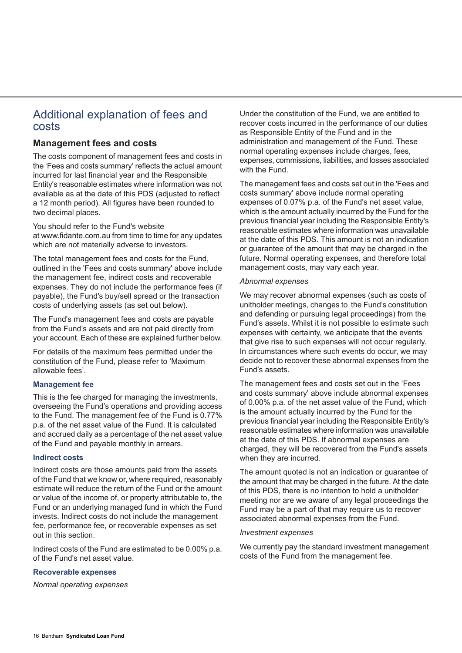## Additional explanation of fees and costs

## **Management fees and costs**

The costs component of management fees and costs in the 'Fees and costs summary' reflects the actual amount incurred for last financial year and the Responsible Entity's reasonable estimates where information was not available as at the date of this PDS (adjusted to reflect a 12 month period). All figures have been rounded to two decimal places.

You should refer to the Fund's website at www.fidante.com.au from time to time for any updates which are not materially adverse to investors.

The total management fees and costs for the Fund, outlined in the 'Fees and costs summary' above include the management fee, indirect costs and recoverable expenses. They do not include the performance fees (if payable), the Fund's buy/sell spread or the transaction costs of underlying assets (as set out below).

The Fund's management fees and costs are payable from the Fund's assets and are not paid directly from your account. Each of these are explained further below.

For details of the maximum fees permitted under the constitution of the Fund, please refer to 'Maximum allowable fees'.

### **Management fee**

This is the fee charged for managing the investments, overseeing the Fund's operations and providing access to the Fund. The management fee of the Fund is 0.77% p.a. of the net asset value of the Fund. It is calculated and accrued daily as a percentage of the net asset value of the Fund and payable monthly in arrears.

#### **Indirect costs**

Indirect costs are those amounts paid from the assets of the Fund that we know or, where required, reasonably estimate will reduce the return of the Fund or the amount or value of the income of, or property attributable to, the Fund or an underlying managed fund in which the Fund invests. Indirect costs do not include the management fee, performance fee, or recoverable expenses as set out in this section.

Indirect costs of the Fund are estimated to be 0.00% p.a. of the Fund's net asset value.

### **Recoverable expenses**

*Normal operating expenses*

Under the constitution of the Fund, we are entitled to recover costs incurred in the performance of our duties as Responsible Entity of the Fund and in the administration and management of the Fund. These normal operating expenses include charges, fees, expenses, commissions, liabilities, and losses associated with the Fund.

The management fees and costs set out in the 'Fees and costs summary' above include normal operating expenses of 0.07% p.a. of the Fund's net asset value, which is the amount actually incurred by the Fund for the previous financial year including the Responsible Entity's reasonable estimates where information was unavailable at the date of this PDS. This amount is not an indication or guarantee of the amount that may be charged in the future. Normal operating expenses, and therefore total management costs, may vary each year.

#### *Abnormal expenses*

We may recover abnormal expenses (such as costs of unitholder meetings, changes to the Fund's constitution and defending or pursuing legal proceedings) from the Fund's assets. Whilst it is not possible to estimate such expenses with certainty, we anticipate that the events that give rise to such expenses will not occur regularly. In circumstances where such events do occur, we may decide not to recover these abnormal expenses from the Fund's assets.

The management fees and costs set out in the 'Fees and costs summary' above include abnormal expenses of 0.00% p.a. of the net asset value of the Fund, which is the amount actually incurred by the Fund for the previous financial year including the Responsible Entity's reasonable estimates where information was unavailable at the date of this PDS. If abnormal expenses are charged, they will be recovered from the Fund's assets when they are incurred.

The amount quoted is not an indication or guarantee of the amount that may be charged in the future. At the date of this PDS, there is no intention to hold a unitholder meeting nor are we aware of any legal proceedings the Fund may be a part of that may require us to recover associated abnormal expenses from the Fund.

#### *Investment expenses*

We currently pay the standard investment management costs of the Fund from the management fee.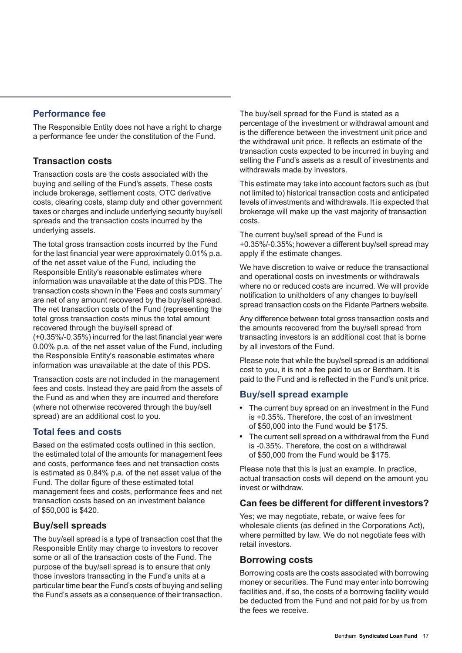## **Performance fee**

The Responsible Entity does not have a right to charge a performance fee under the constitution of the Fund.

## **Transaction costs**

Transaction costs are the costs associated with the buying and selling of the Fund's assets. These costs include brokerage, settlement costs, OTC derivative costs, clearing costs, stamp duty and other government taxes or charges and include underlying security buy/sell spreads and the transaction costs incurred by the underlying assets.

The total gross transaction costs incurred by the Fund for the last financial year were approximately 0.01% p.a. of the net asset value of the Fund, including the Responsible Entity's reasonable estimates where information was unavailable at the date of this PDS. The transaction costs shown in the 'Fees and costs summary' are net of any amount recovered by the buy/sell spread. The net transaction costs of the Fund (representing the total gross transaction costs minus the total amount recovered through the buy/sell spread of (+0.35%/-0.35%) incurred for the last financial year were 0.00% p.a. of the net asset value of the Fund, including the Responsible Entity's reasonable estimates where information was unavailable at the date of this PDS.

Transaction costs are not included in the management fees and costs. Instead they are paid from the assets of the Fund as and when they are incurred and therefore (where not otherwise recovered through the buy/sell spread) are an additional cost to you.

## **Total fees and costs**

Based on the estimated costs outlined in this section, the estimated total of the amounts for management fees and costs, performance fees and net transaction costs is estimated as 0.84% p.a. of the net asset value of the Fund. The dollar figure of these estimated total management fees and costs, performance fees and net transaction costs based on an investment balance of \$50,000 is \$420.

## **Buy/sell spreads**

The buy/sell spread is a type of transaction cost that the Responsible Entity may charge to investors to recover some or all of the transaction costs of the Fund. The purpose of the buy/sell spread is to ensure that only those investors transacting in the Fund's units at a particular time bear the Fund's costs of buying and selling the Fund's assets as a consequence of their transaction.

The buy/sell spread for the Fund is stated as a percentage of the investment or withdrawal amount and is the difference between the investment unit price and the withdrawal unit price. It reflects an estimate of the transaction costs expected to be incurred in buying and selling the Fund's assets as a result of investments and withdrawals made by investors.

This estimate may take into account factors such as (but not limited to) historical transaction costs and anticipated levels of investments and withdrawals. It is expected that brokerage will make up the vast majority of transaction costs.

The current buy/sell spread of the Fund is +0.35%/-0.35%; however a different buy/sell spread may apply if the estimate changes.

We have discretion to waive or reduce the transactional and operational costs on investments or withdrawals where no or reduced costs are incurred. We will provide notification to unitholders of any changes to buy/sell spread transaction costs on the Fidante Partners website.

Any difference between total gross transaction costs and the amounts recovered from the buy/sell spread from transacting investors is an additional cost that is borne by all investors of the Fund.

Please note that while the buy/sell spread is an additional cost to you, it is not a fee paid to us or Bentham. It is paid to the Fund and is reflected in the Fund's unit price.

## **Buy/sell spread example**

- The current buy spread on an investment in the Fund is +0.35%. Therefore, the cost of an investment of \$50,000 into the Fund would be \$175.
- The current sell spread on a withdrawal from the Fund is -0.35%. Therefore, the cost on a withdrawal of \$50,000 from the Fund would be \$175.

Please note that this is just an example. In practice, actual transaction costs will depend on the amount you invest or withdraw.

## **Can fees be different for different investors?**

Yes; we may negotiate, rebate, or waive fees for wholesale clients (as defined in the Corporations Act), where permitted by law. We do not negotiate fees with retail investors.

## **Borrowing costs**

Borrowing costs are the costs associated with borrowing money or securities. The Fund may enter into borrowing facilities and, if so, the costs of a borrowing facility would be deducted from the Fund and not paid for by us from the fees we receive.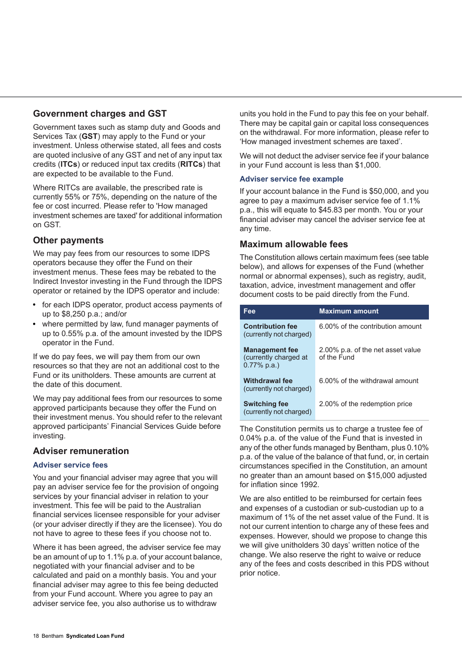## **Government charges and GST**

Government taxes such as stamp duty and Goods and Services Tax (**GST**) may apply to the Fund or your investment. Unless otherwise stated, all fees and costs are quoted inclusive of any GST and net of any input tax credits (**ITCs**) or reduced input tax credits (**RITCs**) that are expected to be available to the Fund.

Where RITCs are available, the prescribed rate is currently 55% or 75%, depending on the nature of the fee or cost incurred. Please refer to 'How managed investment schemes are taxed' for additional information on GST.

## **Other payments**

We may pay fees from our resources to some IDPS operators because they offer the Fund on their investment menus. These fees may be rebated to the Indirect Investor investing in the Fund through the IDPS operator or retained by the IDPS operator and include:

- for each IDPS operator, product access payments of up to \$8,250 p.a.; and/or
- where permitted by law, fund manager payments of up to 0.55% p.a. of the amount invested by the IDPS operator in the Fund.

If we do pay fees, we will pay them from our own resources so that they are not an additional cost to the Fund or its unitholders. These amounts are current at the date of this document.

We may pay additional fees from our resources to some approved participants because they offer the Fund on their investment menus. You should refer to the relevant approved participants' Financial Services Guide before investing.

## **Adviser remuneration**

### **Adviser service fees**

You and your financial adviser may agree that you will pay an adviser service fee for the provision of ongoing services by your financial adviser in relation to your investment. This fee will be paid to the Australian financial services licensee responsible for your adviser (or your adviser directly if they are the licensee). You do not have to agree to these fees if you choose not to.

Where it has been agreed, the adviser service fee may be an amount of up to 1.1% p.a. of your account balance, negotiated with your financial adviser and to be calculated and paid on a monthly basis. You and your financial adviser may agree to this fee being deducted from your Fund account. Where you agree to pay an adviser service fee, you also authorise us to withdraw

units you hold in the Fund to pay this fee on your behalf. There may be capital gain or capital loss consequences on the withdrawal. For more information, please refer to 'How managed investment schemes are taxed'.

We will not deduct the adviser service fee if your balance in your Fund account is less than \$1,000.

### **Adviser service fee example**

If your account balance in the Fund is \$50,000, and you agree to pay a maximum adviser service fee of 1.1% p.a., this will equate to \$45.83 per month. You or your financial adviser may cancel the adviser service fee at any time.

## **Maximum allowable fees**

The Constitution allows certain maximum fees (see table below), and allows for expenses of the Fund (whether normal or abnormal expenses), such as registry, audit, taxation, advice, investment management and offer document costs to be paid directly from the Fund.

| Fee                                                              | <b>Maximum amount</b>                            |
|------------------------------------------------------------------|--------------------------------------------------|
| <b>Contribution fee</b><br>(currently not charged)               | 6.00% of the contribution amount                 |
| <b>Management fee</b><br>(currently charged at<br>$0.77\%$ p.a.) | 2.00% p.a. of the net asset value<br>of the Fund |
| <b>Withdrawal fee</b><br>(currently not charged)                 | 6.00% of the withdrawal amount                   |
| <b>Switching fee</b><br>(currently not charged)                  | 2.00% of the redemption price                    |

The Constitution permits us to charge a trustee fee of 0.04% p.a. of the value of the Fund that is invested in any of the other funds managed by Bentham, plus  $0.10\%$ p.a. of the value of the balance of that fund, or, in certain circumstances specified in the Constitution, an amount no greater than an amount based on \$15,000 adjusted for inflation since 1992.

We are also entitled to be reimbursed for certain fees and expenses of a custodian or sub-custodian up to a maximum of 1% of the net asset value of the Fund. It is not our current intention to charge any of these fees and expenses. However, should we propose to change this we will give unitholders 30 days' written notice of the change. We also reserve the right to waive or reduce any of the fees and costs described in this PDS without prior notice.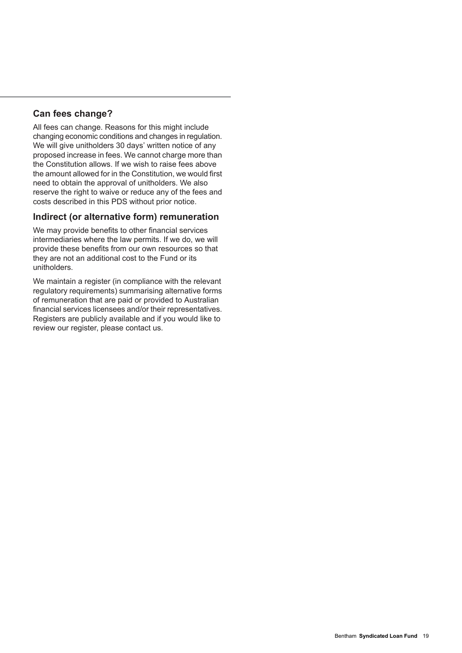## **Can fees change?**

All fees can change. Reasons for this might include changing economic conditions and changes in regulation. We will give unitholders 30 days' written notice of any proposed increase in fees. We cannot charge more than the Constitution allows. If we wish to raise fees above the amount allowed for in the Constitution, we would first need to obtain the approval of unitholders. We also reserve the right to waive or reduce any of the fees and costs described in this PDS without prior notice.

## **Indirect (or alternative form) remuneration**

We may provide benefits to other financial services intermediaries where the law permits. If we do, we will provide these benefits from our own resources so that they are not an additional cost to the Fund or its unitholders.

We maintain a register (in compliance with the relevant regulatory requirements) summarising alternative forms of remuneration that are paid or provided to Australian financial services licensees and/or their representatives. Registers are publicly available and if you would like to review our register, please contact us.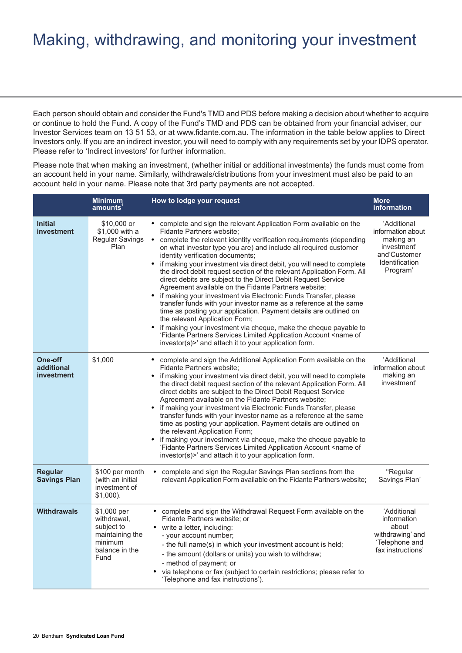# Making, withdrawing, and monitoring your investment

Each person should obtain and consider the Fund's TMD and PDS before making a decision about whether to acquire or continue to hold the Fund. A copy of the Fund's TMD and PDS can be obtained from your financial adviser, our Investor Services team on 13 51 53, or at www.fidante.com.au. The information in the table below applies to Direct Investors only. If you are an indirect investor, you will need to comply with any requirements set by your IDPS operator. Please refer to 'Indirect investors' for further information.

Please note that when making an investment, (whether initial or additional investments) the funds must come from an account held in your name. Similarly, withdrawals/distributions from your investment must also be paid to an account held in your name. Please note that 3rd party payments are not accepted.

|                                       | <b>Minimum</b><br>amounts                                                                        | How to lodge your request                                                                                                                                                                                                                                                                                                                                                                                                                                                                                                                                                                                                                                                                                                                                                                                                                                                                                                                                                                                                     | <b>More</b><br>information                                                                                 |
|---------------------------------------|--------------------------------------------------------------------------------------------------|-------------------------------------------------------------------------------------------------------------------------------------------------------------------------------------------------------------------------------------------------------------------------------------------------------------------------------------------------------------------------------------------------------------------------------------------------------------------------------------------------------------------------------------------------------------------------------------------------------------------------------------------------------------------------------------------------------------------------------------------------------------------------------------------------------------------------------------------------------------------------------------------------------------------------------------------------------------------------------------------------------------------------------|------------------------------------------------------------------------------------------------------------|
| <b>Initial</b><br>investment          | \$10,000 or<br>\$1,000 with a<br>Regular Savings<br>Plan                                         | • complete and sign the relevant Application Form available on the<br>Fidante Partners website;<br>• complete the relevant identity verification requirements (depending<br>on what investor type you are) and include all required customer<br>identity verification documents;<br>if making your investment via direct debit, you will need to complete<br>٠<br>the direct debit request section of the relevant Application Form. All<br>direct debits are subject to the Direct Debit Request Service<br>Agreement available on the Fidante Partners website;<br>if making your investment via Electronic Funds Transfer, please<br>transfer funds with your investor name as a reference at the same<br>time as posting your application. Payment details are outlined on<br>the relevant Application Form;<br>if making your investment via cheque, make the cheque payable to<br>'Fidante Partners Services Limited Application Account <name of<br="">investor(s)&gt;' and attach it to your application form.</name> | 'Additional<br>information about<br>making an<br>investment'<br>and Customer<br>Identification<br>Program' |
| One-off<br>additional<br>investment   | \$1,000                                                                                          | • complete and sign the Additional Application Form available on the<br>Fidante Partners website;<br>• if making your investment via direct debit, you will need to complete<br>the direct debit request section of the relevant Application Form. All<br>direct debits are subject to the Direct Debit Request Service<br>Agreement available on the Fidante Partners website;<br>• if making your investment via Electronic Funds Transfer, please<br>transfer funds with your investor name as a reference at the same<br>time as posting your application. Payment details are outlined on<br>the relevant Application Form;<br>• if making your investment via cheque, make the cheque payable to<br>'Fidante Partners Services Limited Application Account <name of<br="">investor(s)&gt;' and attach it to your application form.</name>                                                                                                                                                                               | 'Additional<br>information about<br>making an<br>investment'                                               |
| <b>Regular</b><br><b>Savings Plan</b> | \$100 per month<br>(with an initial<br>investment of<br>$$1,000$ ).                              | • complete and sign the Regular Savings Plan sections from the<br>relevant Application Form available on the Fidante Partners website;                                                                                                                                                                                                                                                                                                                                                                                                                                                                                                                                                                                                                                                                                                                                                                                                                                                                                        | "Regular<br>Savings Plan'                                                                                  |
| <b>Withdrawals</b>                    | \$1,000 per<br>withdrawal.<br>subject to<br>maintaining the<br>minimum<br>balance in the<br>Fund | • complete and sign the Withdrawal Request Form available on the<br>Fidante Partners website; or<br>• write a letter, including:<br>- your account number;<br>- the full name(s) in which your investment account is held;<br>- the amount (dollars or units) you wish to withdraw;<br>- method of payment; or<br>via telephone or fax (subject to certain restrictions; please refer to<br>'Telephone and fax instructions').                                                                                                                                                                                                                                                                                                                                                                                                                                                                                                                                                                                                | 'Additional<br>information<br>about<br>withdrawing' and<br>'Telephone and<br>fax instructions'             |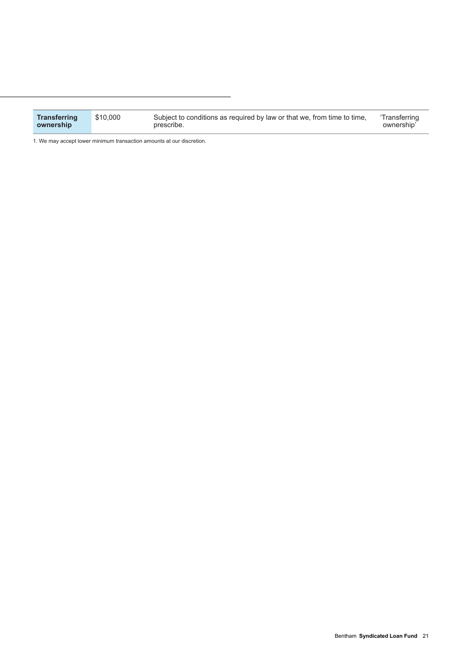| <b>Transferring</b> | \$10,000 | Subject to conditions as required by law or that we, from time to time, | 'Transferring |
|---------------------|----------|-------------------------------------------------------------------------|---------------|
| ownership           |          | prescribe.                                                              | ownership'    |

1. We may accept lower minimum transaction amounts at our discretion.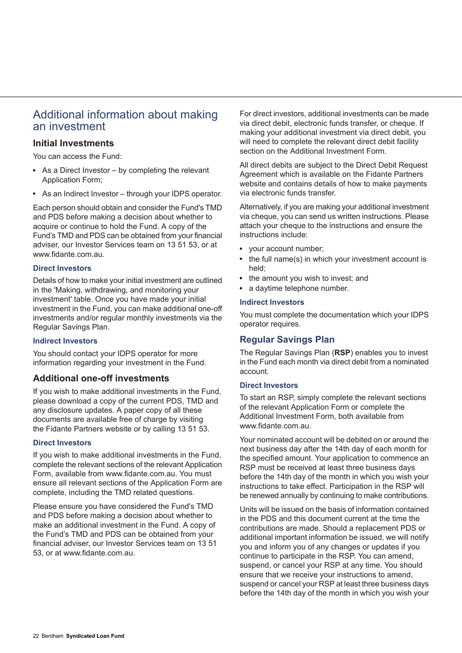## Additional information about making an investment

## **Initial Investments**

You can access the Fund:

- $\bullet$  As a Direct Investor by completing the relevant Application Form;
- As an Indirect Investor through your IDPS operator.

Each person should obtain and consider the Fund's TMD and PDS before making a decision about whether to acquire or continue to hold the Fund. A copy of the Fund's TMD and PDS can be obtained from your financial adviser, our Investor Services team on 13 51 53, or at www.fidante.com.au.

#### **Direct Investors**

Details of how to make your initial investment are outlined in the 'Making, withdrawing, and monitoring your investment' table. Once you have made your initial investment in the Fund, you can make additional one-off investments and/or regular monthly investments via the Regular Savings Plan.

### **Indirect Investors**

You should contact your IDPS operator for more information regarding your investment in the Fund.

## **Additional one-off investments**

If you wish to make additional investments in the Fund, please download a copy of the current PDS, TMD and any disclosure updates. A paper copy of all these documents are available free of charge by visiting the Fidante Partners website or by calling 13 51 53.

#### **Direct Investors**

If you wish to make additional investments in the Fund, complete the relevant sections of the relevant Application Form, available from www.fidante.com.au. You must ensure all relevant sections of the Application Form are complete, including the TMD related questions.

Please ensure you have considered the Fund's TMD and PDS before making a decision about whether to make an additional investment in the Fund. A copy of the Fund's TMD and PDS can be obtained from your financial adviser, our Investor Services team on 13 51 53, or at www.fidante.com.au.

For direct investors, additional investments can be made via direct debit, electronic funds transfer, or cheque. If making your additional investment via direct debit, you will need to complete the relevant direct debit facility section on the Additional Investment Form.

All direct debits are subject to the Direct Debit Request Agreement which is available on the Fidante Partners website and contains details of how to make payments via electronic funds transfer.

Alternatively, if you are making your additional investment via cheque, you can send us written instructions. Please attach your cheque to the instructions and ensure the instructions include:

- your account number;
- the full name(s) in which your investment account is held;
- the amount you wish to invest; and
- a daytime telephone number.

#### **Indirect Investors**

You must complete the documentation which your IDPS operator requires.

## **Regular Savings Plan**

The Regular Savings Plan (**RSP**) enables you to invest in the Fund each month via direct debit from a nominated account.

#### **Direct Investors**

To start an RSP, simply complete the relevant sections of the relevant Application Form or complete the Additional Investment Form, both available from www.fidante.com.au.

Your nominated account will be debited on or around the next business day after the 14th day of each month for the specified amount. Your application to commence an RSP must be received at least three business days before the 14th day of the month in which you wish your instructions to take effect. Participation in the RSP will be renewed annually by continuing to make contributions.

Units will be issued on the basis of information contained in the PDS and this document current at the time the contributions are made. Should a replacement PDS or additional important information be issued, we will notify you and inform you of any changes or updates if you continue to participate in the RSP. You can amend, suspend, or cancel your RSP at any time. You should ensure that we receive your instructions to amend, suspend or cancel your RSP at least three business days before the 14th day of the month in which you wish your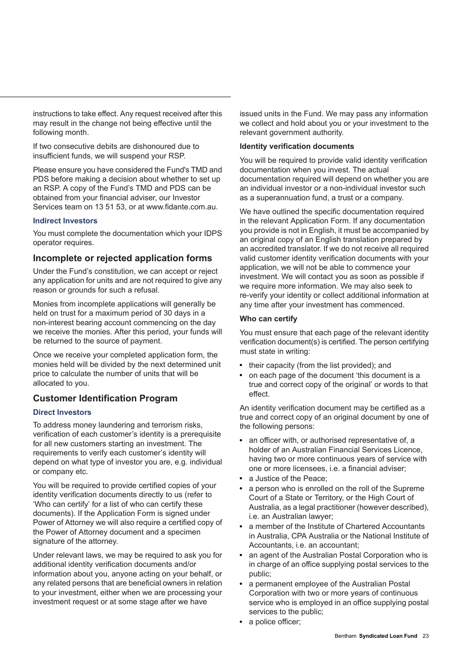instructions to take effect. Any request received after this may result in the change not being effective until the following month.

If two consecutive debits are dishonoured due to insufficient funds, we will suspend your RSP.

Please ensure you have considered the Fund's TMD and PDS before making a decision about whether to set up an RSP. A copy of the Fund's TMD and PDS can be obtained from your financial adviser, our Investor Services team on 13 51 53, or at www.fidante.com.au.

### **Indirect Investors**

You must complete the documentation which your IDPS operator requires.

## **Incomplete or rejected application forms**

Under the Fund's constitution, we can accept or reject any application for units and are not required to give any reason or grounds for such a refusal.

Monies from incomplete applications will generally be held on trust for a maximum period of 30 days in a non-interest bearing account commencing on the day we receive the monies. After this period, your funds will be returned to the source of payment.

Once we receive your completed application form, the monies held will be divided by the next determined unit price to calculate the number of units that will be allocated to you.

## **Customer Identification Program**

## **Direct Investors**

To address money laundering and terrorism risks, verification of each customer's identity is a prerequisite for all new customers starting an investment. The requirements to verify each customer's identity will depend on what type of investor you are, e.g. individual or company etc.

You will be required to provide certified copies of your identity verification documents directly to us (refer to 'Who can certify' for a list of who can certify these documents). If the Application Form is signed under Power of Attorney we will also require a certified copy of the Power of Attorney document and a specimen signature of the attorney.

Under relevant laws, we may be required to ask you for additional identity verification documents and/or information about you, anyone acting on your behalf, or any related persons that are beneficial owners in relation to your investment, either when we are processing your investment request or at some stage after we have

issued units in the Fund. We may pass any information we collect and hold about you or your investment to the relevant government authority.

### **Identity verification documents**

You will be required to provide valid identity verification documentation when you invest. The actual documentation required will depend on whether you are an individual investor or a non-individual investor such as a superannuation fund, a trust or a company.

We have outlined the specific documentation required in the relevant Application Form. If any documentation you provide is not in English, it must be accompanied by an original copy of an English translation prepared by an accredited translator. If we do not receive all required valid customer identity verification documents with your application, we will not be able to commence your investment. We will contact you as soon as possible if we require more information. We may also seek to re-verify your identity or collect additional information at any time after your investment has commenced.

### **Who can certify**

You must ensure that each page of the relevant identity verification document(s) is certified. The person certifying must state in writing:

- their capacity (from the list provided); and
- on each page of the document 'this document is a true and correct copy of the original' or words to that effect.

An identity verification document may be certified as a true and correct copy of an original document by one of the following persons:

- an officer with, or authorised representative of, a holder of an Australian Financial Services Licence, having two or more continuous years of service with one or more licensees, i.e. a financial adviser;
- a Justice of the Peace:
- a person who is enrolled on the roll of the Supreme Court of a State or Territory, or the High Court of Australia, as a legal practitioner (however described), i.e. an Australian lawyer;
- a member of the Institute of Chartered Accountants in Australia, CPA Australia or the National Institute of Accountants, i.e. an accountant;
- an agent of the Australian Postal Corporation who is in charge of an office supplying postal services to the public;
- a permanent employee of the Australian Postal Corporation with two or more years of continuous service who is employed in an office supplying postal services to the public;
- a police officer;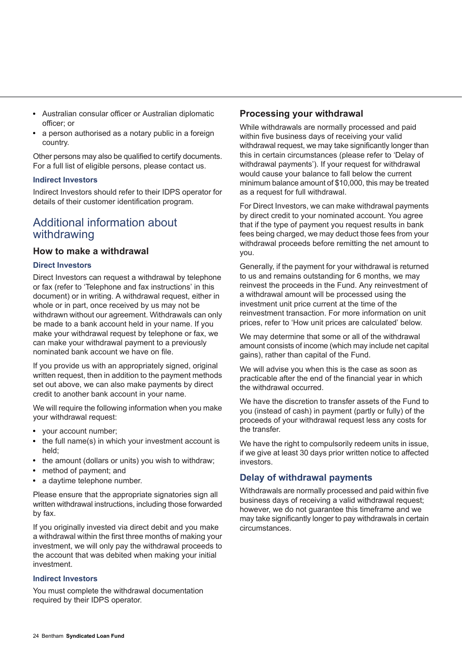- Australian consular officer or Australian diplomatic officer; or
- a person authorised as a notary public in a foreign country.

Other persons may also be qualified to certify documents. For a full list of eligible persons, please contact us.

## **Indirect Investors**

Indirect Investors should refer to their IDPS operator for details of their customer identification program.

# Additional information about withdrawing

## **How to make a withdrawal**

## **Direct Investors**

Direct Investors can request a withdrawal by telephone or fax (refer to 'Telephone and fax instructions' in this document) or in writing. A withdrawal request, either in whole or in part, once received by us may not be withdrawn without our agreement. Withdrawals can only be made to a bank account held in your name. If you make your withdrawal request by telephone or fax, we can make your withdrawal payment to a previously nominated bank account we have on file.

If you provide us with an appropriately signed, original written request, then in addition to the payment methods set out above, we can also make payments by direct credit to another bank account in your name.

We will require the following information when you make your withdrawal request:

- your account number;
- the full name(s) in which your investment account is held;
- the amount (dollars or units) you wish to withdraw;
- method of payment; and
- a daytime telephone number.

Please ensure that the appropriate signatories sign all written withdrawal instructions, including those forwarded by fax.

If you originally invested via direct debit and you make a withdrawal within the first three months of making your investment, we will only pay the withdrawal proceeds to the account that was debited when making your initial investment.

## **Indirect Investors**

You must complete the withdrawal documentation required by their IDPS operator.

## **Processing your withdrawal**

While withdrawals are normally processed and paid within five business days of receiving your valid withdrawal request, we may take significantly longer than this in certain circumstances (please refer to 'Delay of withdrawal payments'). If your request for withdrawal would cause your balance to fall below the current minimum balance amount of \$10,000, this may be treated as a request for full withdrawal.

For Direct Investors, we can make withdrawal payments by direct credit to your nominated account. You agree that if the type of payment you request results in bank fees being charged, we may deduct those fees from your withdrawal proceeds before remitting the net amount to you.

Generally, if the payment for your withdrawal is returned to us and remains outstanding for 6 months, we may reinvest the proceeds in the Fund. Any reinvestment of a withdrawal amount will be processed using the investment unit price current at the time of the reinvestment transaction. For more information on unit prices, refer to 'How unit prices are calculated' below.

We may determine that some or all of the withdrawal amount consists of income (which may include net capital gains), rather than capital of the Fund.

We will advise you when this is the case as soon as practicable after the end of the financial year in which the withdrawal occurred.

We have the discretion to transfer assets of the Fund to you (instead of cash) in payment (partly or fully) of the proceeds of your withdrawal request less any costs for the transfer.

We have the right to compulsorily redeem units in issue, if we give at least 30 days prior written notice to affected investors.

## **Delay of withdrawal payments**

Withdrawals are normally processed and paid within five business days of receiving a valid withdrawal request; however, we do not guarantee this timeframe and we may take significantly longer to pay withdrawals in certain circumstances.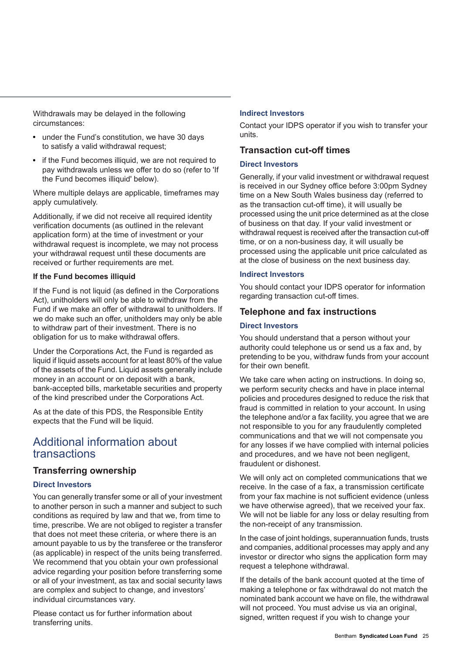Withdrawals may be delayed in the following circumstances:

- under the Fund's constitution, we have 30 days to satisfy a valid withdrawal request;
- if the Fund becomes illiquid, we are not required to pay withdrawals unless we offer to do so (refer to 'If the Fund becomes illiquid' below).

Where multiple delays are applicable, timeframes may apply cumulatively.

Additionally, if we did not receive all required identity verification documents (as outlined in the relevant application form) at the time of investment or your withdrawal request is incomplete, we may not process your withdrawal request until these documents are received or further requirements are met.

### **If the Fund becomes illiquid**

If the Fund is not liquid (as defined in the Corporations Act), unitholders will only be able to withdraw from the Fund if we make an offer of withdrawal to unitholders. If we do make such an offer, unitholders may only be able to withdraw part of their investment. There is no obligation for us to make withdrawal offers.

Under the Corporations Act, the Fund is regarded as liquid if liquid assets account for at least 80% of the value of the assets of the Fund. Liquid assets generally include money in an account or on deposit with a bank, bank-accepted bills, marketable securities and property of the kind prescribed under the Corporations Act.

As at the date of this PDS, the Responsible Entity expects that the Fund will be liquid.

## Additional information about transactions

### **Transferring ownership**

### **Direct Investors**

You can generally transfer some or all of your investment to another person in such a manner and subject to such conditions as required by law and that we, from time to time, prescribe. We are not obliged to register a transfer that does not meet these criteria, or where there is an amount payable to us by the transferee or the transferor (as applicable) in respect of the units being transferred. We recommend that you obtain your own professional advice regarding your position before transferring some or all of your investment, as tax and social security laws are complex and subject to change, and investors' individual circumstances vary.

Please contact us for further information about transferring units.

### **Indirect Investors**

Contact your IDPS operator if you wish to transfer your units.

## **Transaction cut-off times**

#### **Direct Investors**

Generally, if your valid investment or withdrawal request is received in our Sydney office before 3:00pm Sydney time on a New South Wales business day (referred to as the transaction cut-off time), it will usually be processed using the unit price determined as at the close of business on that day. If your valid investment or withdrawal request is received after the transaction cut-off time, or on a non-business day, it will usually be processed using the applicable unit price calculated as at the close of business on the next business day.

#### **Indirect Investors**

You should contact your IDPS operator for information regarding transaction cut-off times.

### **Telephone and fax instructions**

#### **Direct Investors**

You should understand that a person without your authority could telephone us or send us a fax and, by pretending to be you, withdraw funds from your account for their own benefit.

We take care when acting on instructions. In doing so, we perform security checks and have in place internal policies and procedures designed to reduce the risk that fraud is committed in relation to your account. In using the telephone and/or a fax facility, you agree that we are not responsible to you for any fraudulently completed communications and that we will not compensate you for any losses if we have complied with internal policies and procedures, and we have not been negligent, fraudulent or dishonest.

We will only act on completed communications that we receive. In the case of a fax, a transmission certificate from your fax machine is not sufficient evidence (unless we have otherwise agreed), that we received your fax. We will not be liable for any loss or delay resulting from the non-receipt of any transmission.

In the case of joint holdings, superannuation funds, trusts and companies, additional processes may apply and any investor or director who signs the application form may request a telephone withdrawal.

If the details of the bank account quoted at the time of making a telephone or fax withdrawal do not match the nominated bank account we have on file, the withdrawal will not proceed. You must advise us via an original, signed, written request if you wish to change your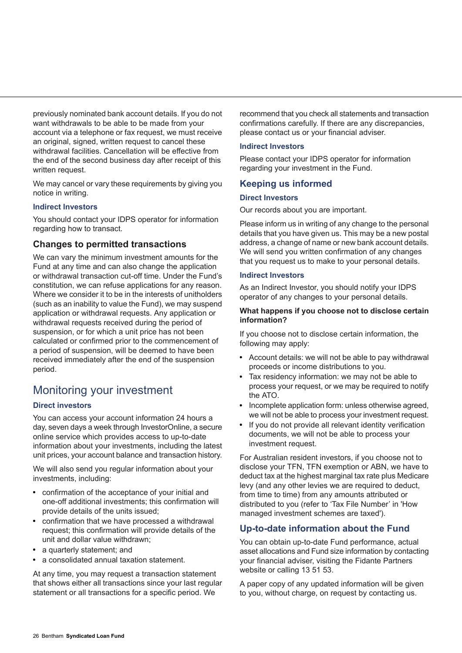previously nominated bank account details. If you do not want withdrawals to be able to be made from your account via a telephone or fax request, we must receive an original, signed, written request to cancel these withdrawal facilities. Cancellation will be effective from the end of the second business day after receipt of this written request.

We may cancel or vary these requirements by giving you notice in writing.

### **Indirect Investors**

You should contact your IDPS operator for information regarding how to transact.

## **Changes to permitted transactions**

We can vary the minimum investment amounts for the Fund at any time and can also change the application or withdrawal transaction cut-off time. Under the Fund's constitution, we can refuse applications for any reason. Where we consider it to be in the interests of unitholders (such as an inability to value the Fund), we may suspend application or withdrawal requests. Any application or withdrawal requests received during the period of suspension, or for which a unit price has not been calculated or confirmed prior to the commencement of a period of suspension, will be deemed to have been received immediately after the end of the suspension period.

## Monitoring your investment

### **Direct investors**

You can access your account information 24 hours a day, seven days a week through InvestorOnline, a secure online service which provides access to up-to-date information about your investments, including the latest unit prices, your account balance and transaction history.

We will also send you regular information about your investments, including:

- confirmation of the acceptance of your initial and one-off additional investments; this confirmation will provide details of the units issued;
- confirmation that we have processed a withdrawal request; this confirmation will provide details of the unit and dollar value withdrawn;
- a quarterly statement; and
- a consolidated annual taxation statement.

At any time, you may request a transaction statement that shows either all transactions since your last regular statement or all transactions for a specific period. We

recommend that you check all statements and transaction confirmations carefully. If there are any discrepancies, please contact us or your financial adviser.

#### **Indirect Investors**

Please contact your IDPS operator for information regarding your investment in the Fund.

### **Keeping us informed**

#### **Direct Investors**

Our records about you are important.

Please inform us in writing of any change to the personal details that you have given us. This may be a new postal address, a change of name or new bank account details. We will send you written confirmation of any changes that you request us to make to your personal details.

#### **Indirect Investors**

As an Indirect Investor, you should notify your IDPS operator of any changes to your personal details.

#### **What happens if you choose not to disclose certain information?**

If you choose not to disclose certain information, the following may apply:

- Account details: we will not be able to pay withdrawal proceeds or income distributions to you.
- Tax residency information: we may not be able to process your request, or we may be required to notify the ATO.
- Incomplete application form: unless otherwise agreed, we will not be able to process your investment request.
- If you do not provide all relevant identity verification documents, we will not be able to process your investment request.

For Australian resident investors, if you choose not to disclose your TFN, TFN exemption or ABN, we have to deduct tax at the highest marginal tax rate plus Medicare levy (and any other levies we are required to deduct, from time to time) from any amounts attributed or distributed to you (refer to 'Tax File Number' in 'How managed investment schemes are taxed').

## **Up-to-date information about the Fund**

You can obtain up-to-date Fund performance, actual asset allocations and Fund size information by contacting your financial adviser, visiting the Fidante Partners website or calling 13 51 53.

A paper copy of any updated information will be given to you, without charge, on request by contacting us.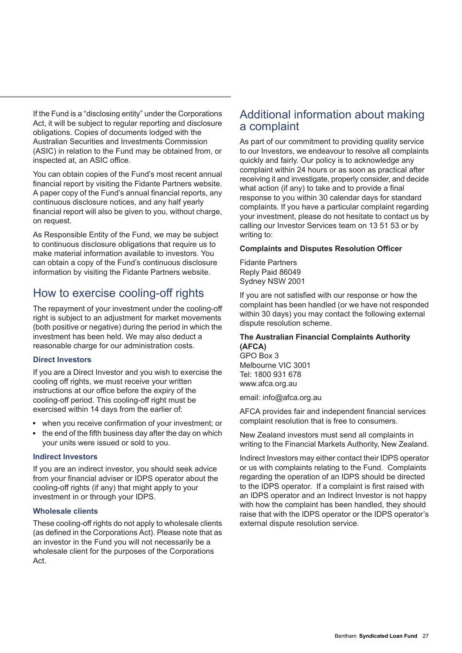If the Fund is a "disclosing entity" under the Corporations Act, it will be subject to regular reporting and disclosure obligations. Copies of documents lodged with the Australian Securities and Investments Commission (ASIC) in relation to the Fund may be obtained from, or inspected at, an ASIC office.

You can obtain copies of the Fund's most recent annual financial report by visiting the Fidante Partners website. A paper copy of the Fund's annual financial reports, any continuous disclosure notices, and any half yearly financial report will also be given to you, without charge, on request.

As Responsible Entity of the Fund, we may be subject to continuous disclosure obligations that require us to make material information available to investors. You can obtain a copy of the Fund's continuous disclosure information by visiting the Fidante Partners website.

# How to exercise cooling-off rights

The repayment of your investment under the cooling-off right is subject to an adjustment for market movements (both positive or negative) during the period in which the investment has been held. We may also deduct a reasonable charge for our administration costs.

### **Direct Investors**

If you are a Direct Investor and you wish to exercise the cooling off rights, we must receive your written instructions at our office before the expiry of the cooling-off period. This cooling-off right must be exercised within 14 days from the earlier of:

- when you receive confirmation of your investment; or
- the end of the fifth business day after the day on which your units were issued or sold to you.

### **Indirect Investors**

If you are an indirect investor, you should seek advice from your financial adviser or IDPS operator about the cooling-off rights (if any) that might apply to your investment in or through your IDPS.

### **Wholesale clients**

These cooling-off rights do not apply to wholesale clients (as defined in the Corporations Act). Please note that as an investor in the Fund you will not necessarily be a wholesale client for the purposes of the Corporations Act.

## Additional information about making a complaint

As part of our commitment to providing quality service to our Investors, we endeavour to resolve all complaints quickly and fairly. Our policy is to acknowledge any complaint within 24 hours or as soon as practical after receiving it and investigate, properly consider, and decide what action (if any) to take and to provide a final response to you within 30 calendar days for standard complaints. If you have a particular complaint regarding your investment, please do not hesitate to contact us by calling our Investor Services team on 13 51 53 or by writing to:

#### **Complaints and Disputes Resolution Officer**

Fidante Partners Reply Paid 86049 Sydney NSW 2001

If you are not satisfied with our response or how the complaint has been handled (or we have not responded within 30 days) you may contact the following external dispute resolution scheme.

#### **The Australian Financial Complaints Authority (AFCA)**

GPO Box 3 Melbourne VIC 3001 Tel: 1800 931 678 www.afca.org.au

email: info@afca.org.au

AFCA provides fair and independent financial services complaint resolution that is free to consumers.

New Zealand investors must send all complaints in writing to the Financial Markets Authority, New Zealand.

Indirect Investors mayeither contact their IDPS operator or us with complaints relating to the Fund. Complaints regarding the operation of an IDPS should be directed to the IDPS operator. If a complaint is first raised with an IDPS operator and an Indirect Investor is not happy with how the complaint has been handled, they should raise that with the IDPS operator or the IDPS operator's external dispute resolution service.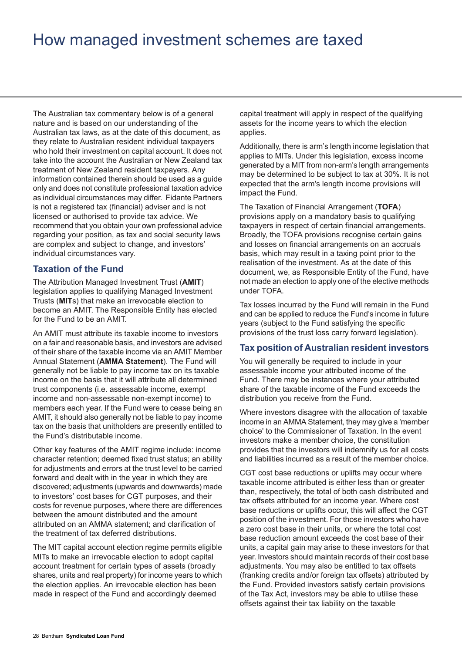# How managed investment schemes are taxed

The Australian tax commentary below is of a general nature and is based on our understanding of the Australian tax laws, as at the date of this document, as they relate to Australian resident individual taxpayers who hold their investment on capital account. It does not take into the account the Australian or New Zealand tax treatment of New Zealand resident taxpayers. Any information contained therein should be used as a guide only and does not constitute professional taxation advice as individual circumstances may differ. Fidante Partners is not a registered tax (financial) adviser and is not licensed or authorised to provide tax advice. We recommend that you obtain your own professional advice regarding your position, as tax and social security laws are complex and subject to change, and investors' individual circumstances vary.

### **Taxation of the Fund**

The Attribution Managed Investment Trust (**AMIT**) legislation applies to qualifying Managed Investment Trusts (**MIT**s) that make an irrevocable election to become an AMIT. The Responsible Entity has elected for the Fund to be an AMIT.

An AMIT must attribute its taxable income to investors on a fair and reasonable basis, and investors are advised of their share of the taxable income via an AMIT Member Annual Statement (**AMMA Statement**). The Fund will generally not be liable to pay income tax on its taxable income on the basis that it will attribute all determined trust components (i.e. assessable income, exempt income and non-assessable non-exempt income) to members each year. If the Fund were to cease being an AMIT, it should also generally not be liable to pay income tax on the basis that unitholders are presently entitled to the Fund's distributable income.

Other key features of the AMIT regime include: income character retention; deemed fixed trust status; an ability for adjustments and errors at the trust level to be carried forward and dealt with in the year in which they are discovered; adjustments (upwards and downwards) made to investors' cost bases for CGT purposes, and their costs for revenue purposes, where there are differences between the amount distributed and the amount attributed on an AMMA statement; and clarification of the treatment of tax deferred distributions.

The MIT capital account election regime permits eligible MITs to make an irrevocable election to adopt capital account treatment for certain types of assets (broadly shares, units and real property) for income years to which the election applies. An irrevocable election has been made in respect of the Fund and accordingly deemed

capital treatment will apply in respect of the qualifying assets for the income years to which the election applies.

Additionally, there is arm's length income legislation that applies to MITs. Under this legislation, excess income generated by a MIT from non-arm's length arrangements may be determined to be subject to tax at 30%. It is not expected that the arm's length income provisions will impact the Fund.

The Taxation of Financial Arrangement (**TOFA**) provisions apply on a mandatory basis to qualifying taxpayers in respect of certain financial arrangements. Broadly, the TOFA provisions recognise certain gains and losses on financial arrangements on an accruals basis, which may result in a taxing point prior to the realisation of the investment. As at the date of this document, we, as Responsible Entity of the Fund, have not made an election to apply one of the elective methods under TOFA.

Tax losses incurred by the Fund will remain in the Fund and can be applied to reduce the Fund's income in future years (subject to the Fund satisfying the specific provisions of the trust loss carry forward legislation).

### **Tax position of Australian resident investors**

You will generally be required to include in your assessable income your attributed income of the Fund. There may be instances where your attributed share of the taxable income of the Fund exceeds the distribution you receive from the Fund.

Where investors disagree with the allocation of taxable income in an AMMA Statement, they may give a 'member choice' to the Commissioner of Taxation. In the event investors make a member choice, the constitution provides that the investors will indemnify us for all costs and liabilities incurred as a result of the member choice.

CGT cost base reductions or uplifts may occur where taxable income attributed is either less than or greater than, respectively, the total of both cash distributed and tax offsets attributed for an income year. Where cost base reductions or uplifts occur, this will affect the CGT position of the investment. For those investors who have a zero cost base in their units, or where the total cost base reduction amount exceeds the cost base of their units, a capital gain may arise to these investors for that year. Investors should maintain records of their cost base adjustments. You may also be entitled to tax offsets (franking credits and/or foreign tax offsets) attributed by the Fund. Provided investors satisfy certain provisions of the Tax Act, investors may be able to utilise these offsets against their tax liability on the taxable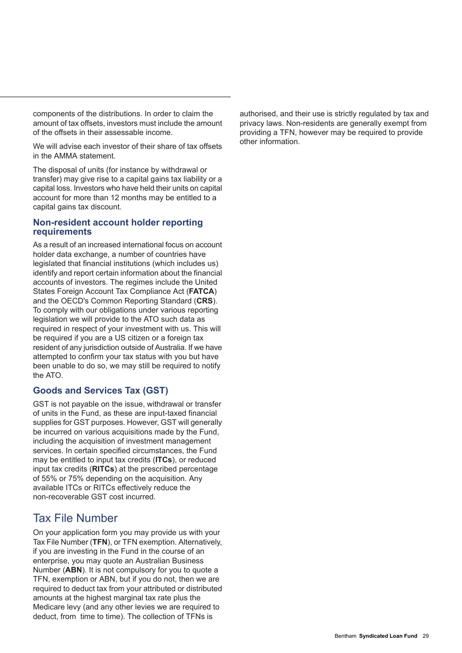components of the distributions. In order to claim the amount of tax offsets, investors must include the amount of the offsets in their assessable income.

We will advise each investor of their share of tax offsets in the AMMA statement.

The disposal of units (for instance by withdrawal or transfer) may give rise to a capital gains tax liability or a capital loss. Investors who have held their units on capital account for more than 12 months may be entitled to a capital gains tax discount.

## **Non-resident account holder reporting requirements**

As a result of an increased international focus on account holder data exchange, a number of countries have legislated that financial institutions (which includes us) identify and report certain information about the financial accounts of investors. The regimes include the United States Foreign Account Tax Compliance Act (**FATCA**) and the OECD's Common Reporting Standard (**CRS**). To comply with our obligations under various reporting legislation we will provide to the ATO such data as required in respect of your investment with us. This will be required if you are a US citizen or a foreign tax resident of any jurisdiction outside of Australia. If we have attempted to confirm your tax status with you but have been unable to do so, we may still be required to notify the ATO.

## **Goods and Services Tax (GST)**

GST is not payable on the issue, withdrawal or transfer of units in the Fund, as these are input-taxed financial supplies for GST purposes. However, GST will generally be incurred on various acquisitions made by the Fund, including the acquisition of investment management services. In certain specified circumstances, the Fund may be entitled to input tax credits (**ITCs**), or reduced input tax credits (**RITCs**) at the prescribed percentage of 55% or 75% depending on the acquisition. Any available ITCs or RITCs effectively reduce the non-recoverable GST cost incurred.

## Tax File Number

On your application form you may provide us with your Tax File Number (**TFN**), or TFN exemption. Alternatively, if you are investing in the Fund in the course of an enterprise, you may quote an Australian Business Number (**ABN**). It is not compulsory for you to quote a TFN, exemption or ABN, but if you do not, then we are required to deduct tax from your attributed or distributed amounts at the highest marginal tax rate plus the Medicare levy (and any other levies we are required to deduct, from time to time). The collection of TFNs is

authorised, and their use is strictly regulated by tax and privacy laws. Non-residents are generally exempt from providing a TFN, however may be required to provide other information.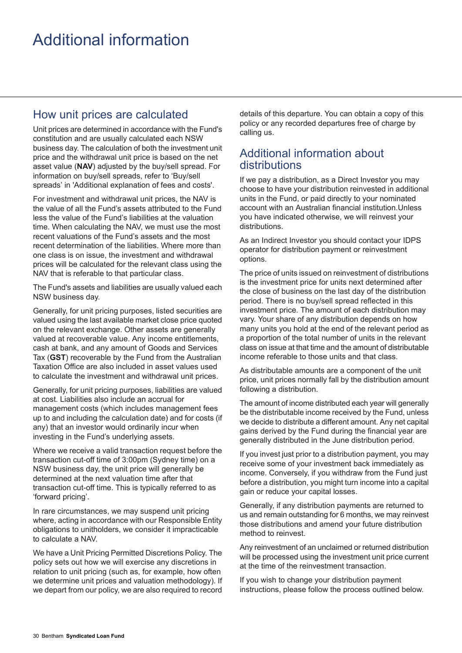# Additional information

## How unit prices are calculated

Unit prices are determined in accordance with the Fund's constitution and are usually calculated each NSW business day. The calculation of both the investment unit price and the withdrawal unit price is based on the net asset value (**NAV**) adjusted by the buy/sell spread. For information on buy/sell spreads, refer to 'Buy/sell spreads' in 'Additional explanation of fees and costs'.

For investment and withdrawal unit prices, the NAV is the value of all the Fund's assets attributed to the Fund less the value of the Fund's liabilities at the valuation time. When calculating the NAV, we must use the most recent valuations of the Fund's assets and the most recent determination of the liabilities. Where more than one class is on issue, the investment and withdrawal prices will be calculated for the relevant class using the NAV that is referable to that particular class.

The Fund's assets and liabilities are usually valued each NSW business day.

Generally, for unit pricing purposes, listed securities are valued using the last available market close price quoted on the relevant exchange. Other assets are generally valued at recoverable value. Any income entitlements, cash at bank, and any amount of Goods and Services Tax (**GST**) recoverable by the Fund from the Australian Taxation Office are also included in asset values used to calculate the investment and withdrawal unit prices.

Generally, for unit pricing purposes, liabilities are valued at cost. Liabilities also include an accrual for management costs (which includes management fees up to and including the calculation date) and for costs (if any) that an investor would ordinarily incur when investing in the Fund's underlying assets.

Where we receive a valid transaction request before the transaction cut-off time of 3:00pm (Sydney time) on a NSW business day, the unit price will generally be determined at the next valuation time after that transaction cut-off time. This is typically referred to as 'forward pricing'.

In rare circumstances, we may suspend unit pricing where, acting in accordance with our Responsible Entity obligations to unitholders, we consider it impracticable to calculate a NAV.

We have a Unit Pricing Permitted Discretions Policy. The policy sets out how we will exercise any discretions in relation to unit pricing (such as, for example, how often we determine unit prices and valuation methodology). If we depart from our policy, we are also required to record details of this departure. You can obtain a copy of this policy or any recorded departures free of charge by calling us.

## Additional information about distributions

If we pay a distribution, as a Direct Investor you may choose to have your distribution reinvested in additional units in the Fund, or paid directly to your nominated account with an Australian financial institution.Unless you have indicated otherwise, we will reinvest your distributions.

As an Indirect Investor you should contact your IDPS operator for distribution payment or reinvestment options.

The price of units issued on reinvestment of distributions is the investment price for units next determined after the close of business on the last day of the distribution period. There is no buy/sell spread reflected in this investment price. The amount of each distribution may vary. Your share of any distribution depends on how many units you hold at the end of the relevant period as a proportion of the total number of units in the relevant class on issue at that time and the amount of distributable income referable to those units and that class.

As distributable amounts are a component of the unit price, unit prices normally fall by the distribution amount following a distribution.

The amount of income distributed each year will generally be the distributable income received by the Fund, unless we decide to distribute a different amount. Any net capital gains derived by the Fund during the financial year are generally distributed in the June distribution period.

If you invest just prior to a distribution payment, you may receive some of your investment back immediately as income. Conversely, if you withdraw from the Fund just before a distribution, you might turn income into a capital gain or reduce your capital losses.

Generally, if any distribution payments are returned to us and remain outstanding for 6 months, we may reinvest those distributions and amend your future distribution method to reinvest.

Any reinvestment of an unclaimed or returned distribution will be processed using the investment unit price current at the time of the reinvestment transaction.

If you wish to change your distribution payment instructions, please follow the process outlined below.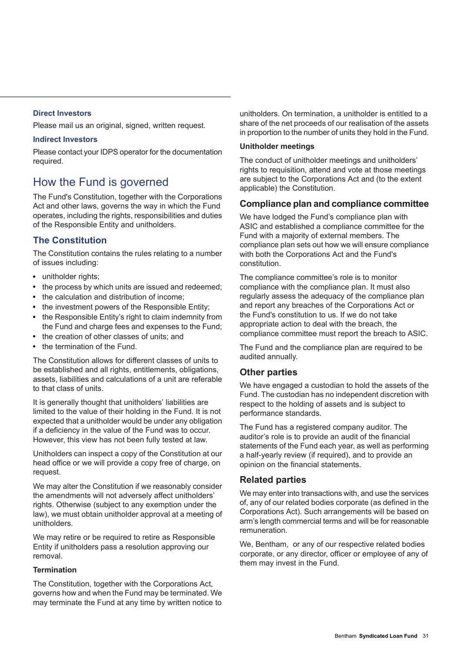### **Direct Investors**

Please mail us an original, signed, written request.

#### **Indirect Investors**

Please contact your IDPS operator for the documentation required.

## How the Fund is governed

The Fund's Constitution, together with the Corporations Act and other laws, governs the way in which the Fund operates, including the rights, responsibilities and duties of the Responsible Entity and unitholders.

## **The Constitution**

The Constitution contains the rules relating to a number of issues including:

- unitholder rights;
- the process by which units are issued and redeemed;
- the calculation and distribution of income;  $\bullet$
- the investment powers of the Responsible Entity;
- the Responsible Entity's right to claim indemnity from the Fund and charge fees and expenses to the Fund;
- the creation of other classes of units; and
- the termination of the Fund.

The Constitution allows for different classes of units to be established and all rights, entitlements, obligations, assets, liabilities and calculations of a unit are referable to that class of units.

It is generally thought that unitholders' liabilities are limited to the value of their holding in the Fund. It is not expected that a unitholder would be under any obligation if a deficiency in the value of the Fund was to occur. However, this view has not been fully tested at law.

Unitholders can inspect a copy of the Constitution at our head office or we will provide a copy free of charge, on request.

We may alter the Constitution if we reasonably consider the amendments will not adversely affect unitholders' rights. Otherwise (subject to any exemption under the law), we must obtain unitholder approval at a meeting of unitholders.

We may retire or be required to retire as Responsible Entity if unitholders pass a resolution approving our removal.

#### **Termination**

The Constitution, together with the Corporations Act, governs how and when the Fund may be terminated. We may terminate the Fund at any time by written notice to

unitholders. On termination, a unitholder is entitled to a share of the net proceeds of our realisation of the assets in proportion to the number of units they hold in the Fund.

#### **Unitholder meetings**

The conduct of unitholder meetings and unitholders' rights to requisition, attend and vote at those meetings are subject to the Corporations Act and (to the extent applicable) the Constitution.

### **Compliance plan and compliance committee**

We have lodged the Fund's compliance plan with ASIC and established a compliance committee for the Fund with a majority of external members. The compliance plan sets out how we will ensure compliance with both the Corporations Act and the Fund's constitution.

The compliance committee's role is to monitor compliance with the compliance plan. It must also regularly assess the adequacy of the compliance plan and report any breaches of the Corporations Act or the Fund's constitution to us. If we do not take appropriate action to deal with the breach, the compliance committee must report the breach to ASIC.

The Fund and the compliance plan are required to be audited annually.

## **Other parties**

We have engaged a custodian to hold the assets of the Fund. The custodian has no independent discretion with respect to the holding of assets and is subject to performance standards.

The Fund has a registered company auditor. The auditor's role is to provide an audit of the financial statements of the Fund each year, as well as performing a half-yearly review (if required), and to provide an opinion on the financial statements.

## **Related parties**

We may enter into transactions with, and use the services of, any of our related bodies corporate (as defined in the Corporations Act). Such arrangements will be based on arm's length commercial terms and will be for reasonable remuneration.

We, Bentham, or any of our respective related bodies corporate, or any director, officer or employee of any of them may invest in the Fund.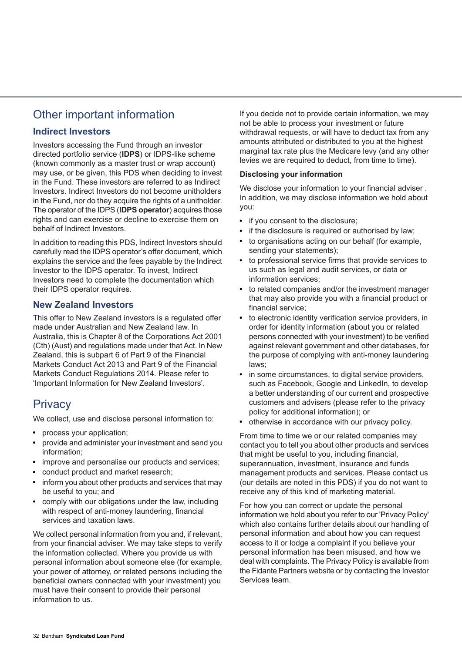# Other important information

## **Indirect Investors**

Investors accessing the Fund through an investor directed portfolio service (**IDPS**) or IDPS-like scheme (known commonly as a master trust or wrap account) may use, or be given, this PDS when deciding to invest in the Fund. These investors are referred to as Indirect Investors. Indirect Investors do not become unitholders in the Fund, nor do they acquire the rights of a unitholder. The operator of the IDPS (**IDPS** operator) acquires those rights and can exercise or decline to exercise them on behalf of Indirect Investors.

In addition to reading this PDS, Indirect Investors should carefully read the IDPS operator's offer document, which explains the service and the fees payable by the Indirect Investor to the IDPS operator. To invest, Indirect Investors need to complete the documentation which their IDPS operator requires.

## **New Zealand Investors**

This offer to New Zealand investors is a regulated offer made under Australian and New Zealand law. In Australia, this is Chapter 8 of the Corporations Act 2001 (Cth) (Aust) and regulations made under that Act. In New Zealand, this is subpart 6 of Part 9 of the Financial Markets Conduct Act 2013 and Part 9 of the Financial Markets Conduct Regulations 2014. Please refer to 'Important Information for New Zealand Investors'.

# **Privacy**

We collect, use and disclose personal information to:

- process your application;
- provide and administer your investment and send you information;
- improve and personalise our products and services;
- conduct product and market research:
- inform you about other products and services that may be useful to you; and
- comply with our obligations under the law, including  $\bullet$ with respect of anti-money laundering, financial services and taxation laws.

We collect personal information from you and, if relevant, from your financial adviser. We may take steps to verify the information collected. Where you provide us with personal information about someone else (for example, your power of attorney, or related persons including the beneficial owners connected with your investment) you must have their consent to provide their personal information to us.

If you decide not to provide certain information, we may not be able to process your investment or future withdrawal requests, or will have to deduct tax from any amounts attributed or distributed to you at the highest marginal tax rate plus the Medicare levy (and any other levies we are required to deduct, from time to time).

## **Disclosing your information**

We disclose your information to your financial adviser . In addition, we may disclose information we hold about you:

- if you consent to the disclosure;
- if the disclosure is required or authorised by law;
- $\bullet$ to organisations acting on our behalf (for example, sending your statements);
- to professional service firms that provide services to us such as legal and audit services, or data or information services;
- to related companies and/or the investment manager that may also provide you with a financial product or financial service;
- to electronic identity verification service providers, in order for identity information (about you or related persons connected with your investment) to be verified against relevant government and other databases, for the purpose of complying with anti-money laundering laws;
- in some circumstances, to digital service providers, such as Facebook, Google and LinkedIn, to develop a better understanding of our current and prospective customers and advisers (please refer to the privacy policy for additional information); or
- otherwise in accordance with our privacy policy.

From time to time we or our related companies may contact you to tell you about other products and services that might be useful to you, including financial, superannuation, investment, insurance and funds management products and services. Please contact us (our details are noted in this PDS) if you do not want to receive any of this kind of marketing material.

For how you can correct or update the personal information we hold about you refer to our 'Privacy Policy' which also contains further details about our handling of personal information and about how you can request access to it or lodge a complaint if you believe your personal information has been misused, and how we deal with complaints. The Privacy Policy is available from the Fidante Partners website or by contacting the Investor Services team.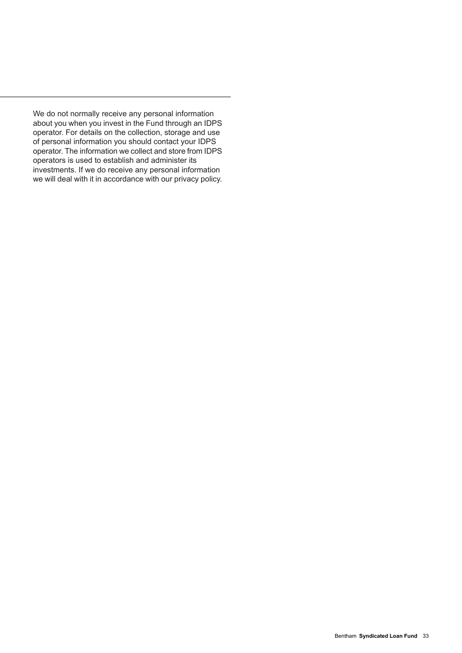We do not normally receive any personal information about you when you invest in the Fund through an IDPS operator. For details on the collection, storage and use of personal information you should contact your IDPS operator. The information we collect and store from IDPS operators is used to establish and administer its investments. If we do receive any personal information we will deal with it in accordance with our privacy policy.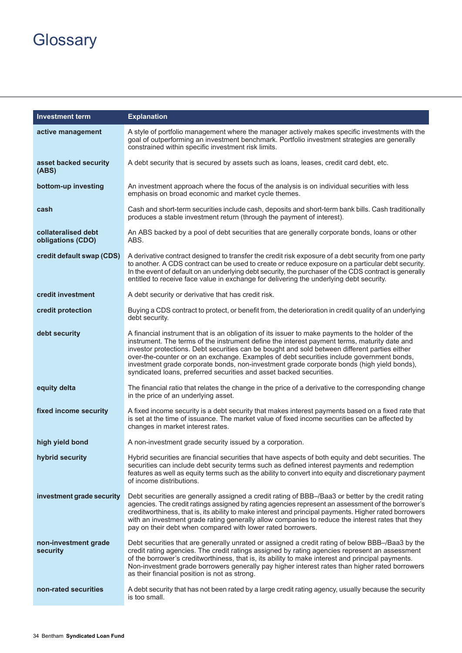# **Glossary**

| <b>Investment term</b>                   | <b>Explanation</b>                                                                                                                                                                                                                                                                                                                                                                                                                                                                                                                                                  |
|------------------------------------------|---------------------------------------------------------------------------------------------------------------------------------------------------------------------------------------------------------------------------------------------------------------------------------------------------------------------------------------------------------------------------------------------------------------------------------------------------------------------------------------------------------------------------------------------------------------------|
| active management                        | A style of portfolio management where the manager actively makes specific investments with the<br>goal of outperforming an investment benchmark. Portfolio investment strategies are generally<br>constrained within specific investment risk limits.                                                                                                                                                                                                                                                                                                               |
| asset backed security<br>(ABS)           | A debt security that is secured by assets such as loans, leases, credit card debt, etc.                                                                                                                                                                                                                                                                                                                                                                                                                                                                             |
| bottom-up investing                      | An investment approach where the focus of the analysis is on individual securities with less<br>emphasis on broad economic and market cycle themes.                                                                                                                                                                                                                                                                                                                                                                                                                 |
| cash                                     | Cash and short-term securities include cash, deposits and short-term bank bills. Cash traditionally<br>produces a stable investment return (through the payment of interest).                                                                                                                                                                                                                                                                                                                                                                                       |
| collateralised debt<br>obligations (CDO) | An ABS backed by a pool of debt securities that are generally corporate bonds, loans or other<br>ABS.                                                                                                                                                                                                                                                                                                                                                                                                                                                               |
| credit default swap (CDS)                | A derivative contract designed to transfer the credit risk exposure of a debt security from one party<br>to another. A CDS contract can be used to create or reduce exposure on a particular debt security.<br>In the event of default on an underlying debt security, the purchaser of the CDS contract is generally<br>entitled to receive face value in exchange for delivering the underlying debt security.                                                                                                                                                    |
| credit investment                        | A debt security or derivative that has credit risk.                                                                                                                                                                                                                                                                                                                                                                                                                                                                                                                 |
| credit protection                        | Buying a CDS contract to protect, or benefit from, the deterioration in credit quality of an underlying<br>debt security.                                                                                                                                                                                                                                                                                                                                                                                                                                           |
| debt security                            | A financial instrument that is an obligation of its issuer to make payments to the holder of the<br>instrument. The terms of the instrument define the interest payment terms, maturity date and<br>investor protections. Debt securities can be bought and sold between different parties either<br>over-the-counter or on an exchange. Examples of debt securities include government bonds,<br>investment grade corporate bonds, non-investment grade corporate bonds (high yield bonds),<br>syndicated loans, preferred securities and asset backed securities. |
| equity delta                             | The financial ratio that relates the change in the price of a derivative to the corresponding change<br>in the price of an underlying asset.                                                                                                                                                                                                                                                                                                                                                                                                                        |
| fixed income security                    | A fixed income security is a debt security that makes interest payments based on a fixed rate that<br>is set at the time of issuance. The market value of fixed income securities can be affected by<br>changes in market interest rates.                                                                                                                                                                                                                                                                                                                           |
| high yield bond                          | A non-investment grade security issued by a corporation.                                                                                                                                                                                                                                                                                                                                                                                                                                                                                                            |
| hybrid security                          | Hybrid securities are financial securities that have aspects of both equity and debt securities. The<br>securities can include debt security terms such as defined interest payments and redemption<br>features as well as equity terms such as the ability to convert into equity and discretionary payment<br>of income distributions.                                                                                                                                                                                                                            |
| investment grade security                | Debt securities are generally assigned a credit rating of BBB-/Baa3 or better by the credit rating<br>agencies. The credit ratings assigned by rating agencies represent an assessment of the borrower's<br>creditworthiness, that is, its ability to make interest and principal payments. Higher rated borrowers<br>with an investment grade rating generally allow companies to reduce the interest rates that they<br>pay on their debt when compared with lower rated borrowers.                                                                               |
| non-investment grade<br>security         | Debt securities that are generally unrated or assigned a credit rating of below BBB-/Baa3 by the<br>credit rating agencies. The credit ratings assigned by rating agencies represent an assessment<br>of the borrower's creditworthiness, that is, its ability to make interest and principal payments.<br>Non-investment grade borrowers generally pay higher interest rates than higher rated borrowers<br>as their financial position is not as strong.                                                                                                          |
| non-rated securities                     | A debt security that has not been rated by a large credit rating agency, usually because the security<br>is too small.                                                                                                                                                                                                                                                                                                                                                                                                                                              |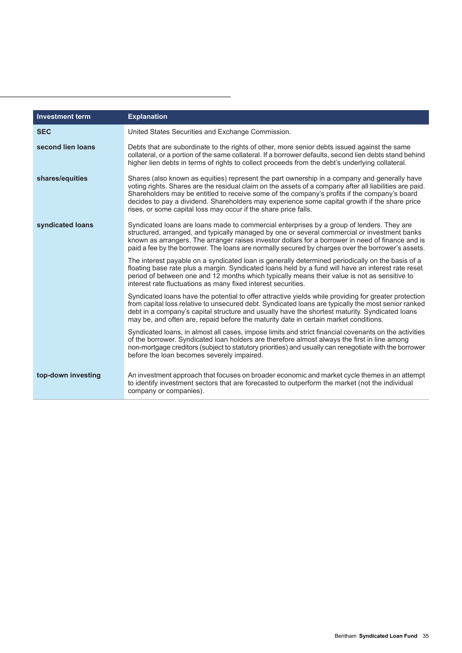| <b>Investment term</b> | <b>Explanation</b>                                                                                                                                                                                                                                                                                                                                                                                                                                                          |
|------------------------|-----------------------------------------------------------------------------------------------------------------------------------------------------------------------------------------------------------------------------------------------------------------------------------------------------------------------------------------------------------------------------------------------------------------------------------------------------------------------------|
| <b>SEC</b>             | United States Securities and Exchange Commission.                                                                                                                                                                                                                                                                                                                                                                                                                           |
| second lien loans      | Debts that are subordinate to the rights of other, more senior debts issued against the same<br>collateral, or a portion of the same collateral. If a borrower defaults, second lien debts stand behind<br>higher lien debts in terms of rights to collect proceeds from the debt's underlying collateral.                                                                                                                                                                  |
| shares/equities        | Shares (also known as equities) represent the part ownership in a company and generally have<br>voting rights. Shares are the residual claim on the assets of a company after all liabilities are paid.<br>Shareholders may be entitled to receive some of the company's profits if the company's board<br>decides to pay a dividend. Shareholders may experience some capital growth if the share price<br>rises, or some capital loss may occur if the share price falls. |
| syndicated loans       | Syndicated loans are loans made to commercial enterprises by a group of lenders. They are<br>structured, arranged, and typically managed by one or several commercial or investment banks<br>known as arrangers. The arranger raises investor dollars for a borrower in need of finance and is<br>paid a fee by the borrower. The loans are normally secured by charges over the borrower's assets.                                                                         |
|                        | The interest payable on a syndicated loan is generally determined periodically on the basis of a<br>floating base rate plus a margin. Syndicated loans held by a fund will have an interest rate reset<br>period of between one and 12 months which typically means their value is not as sensitive to<br>interest rate fluctuations as many fixed interest securities.                                                                                                     |
|                        | Syndicated loans have the potential to offer attractive yields while providing for greater protection<br>from capital loss relative to unsecured debt. Syndicated loans are typically the most senior ranked<br>debt in a company's capital structure and usually have the shortest maturity. Syndicated loans<br>may be, and often are, repaid before the maturity date in certain market conditions.                                                                      |
|                        | Syndicated loans, in almost all cases, impose limits and strict financial covenants on the activities<br>of the borrower. Syndicated loan holders are therefore almost always the first in line among<br>non-mortgage creditors (subject to statutory priorities) and usually can renegotiate with the borrower<br>before the loan becomes severely impaired.                                                                                                               |
| top-down investing     | An investment approach that focuses on broader economic and market cycle themes in an attempt<br>to identify investment sectors that are forecasted to outperform the market (not the individual<br>company or companies).                                                                                                                                                                                                                                                  |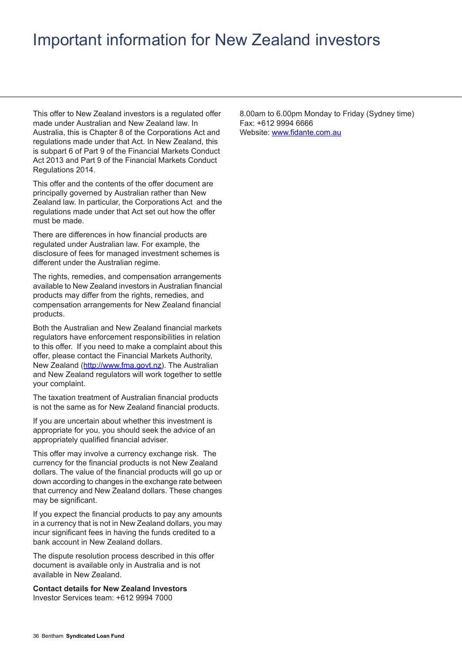# Important information for New Zealand investors

This offer to New Zealand investors is a regulated offer made under Australian and New Zealand law. In Australia, this is Chapter 8 of the Corporations Act and regulations made under that Act. In New Zealand, this is subpart 6 of Part 9 of the Financial Markets Conduct Act 2013 and Part 9 of the Financial Markets Conduct Regulations 2014.

This offer and the contents of the offer document are principally governed by Australian rather than New Zealand law. In particular, the Corporations Act and the regulations made under that Act set out how the offer must be made.

There are differences in how financial products are regulated under Australian law. For example, the disclosure of fees for managed investment schemes is different under the Australian regime.

The rights, remedies, and compensation arrangements available to New Zealand investors in Australian financial products may differ from the rights, remedies, and compensation arrangements for New Zealand financial products.

Both the Australian and New Zealand financial markets regulators have enforcement responsibilities in relation to this offer. If you need to make a complaint about this offer, please contact the Financial Markets Authority, New Zealand (http://www.fma.govt.nz). The Australian and New Zealand regulators will work together to settle your complaint.

The taxation treatment of Australian financial products is not the same as for New Zealand financial products.

If you are uncertain about whether this investment is appropriate for you, you should seek the advice of an appropriately qualified financial adviser.

This offer may involve a currency exchange risk. The currency for the financial products is not New Zealand dollars. The value of the financial products will go up or down according to changes in the exchange rate between that currency and New Zealand dollars. These changes may be significant.

If you expect the financial products to pay any amounts in a currency that is not in New Zealand dollars, you may incur significant fees in having the funds credited to a bank account in New Zealand dollars.

The dispute resolution process described in this offer document is available only in Australia and is not available in New Zealand.

**Contact details for New Zealand Investors** Investor Services team: +612 9994 7000

8.00am to 6.00pm Monday to Friday (Sydney time) Fax: +612 9994 6666 Website: www.fidante.com.au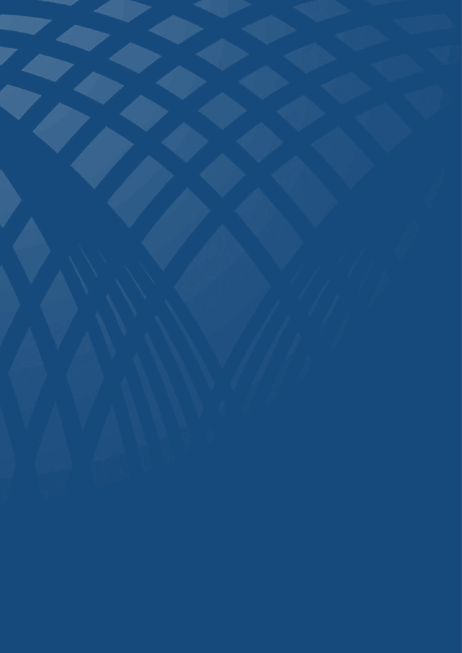